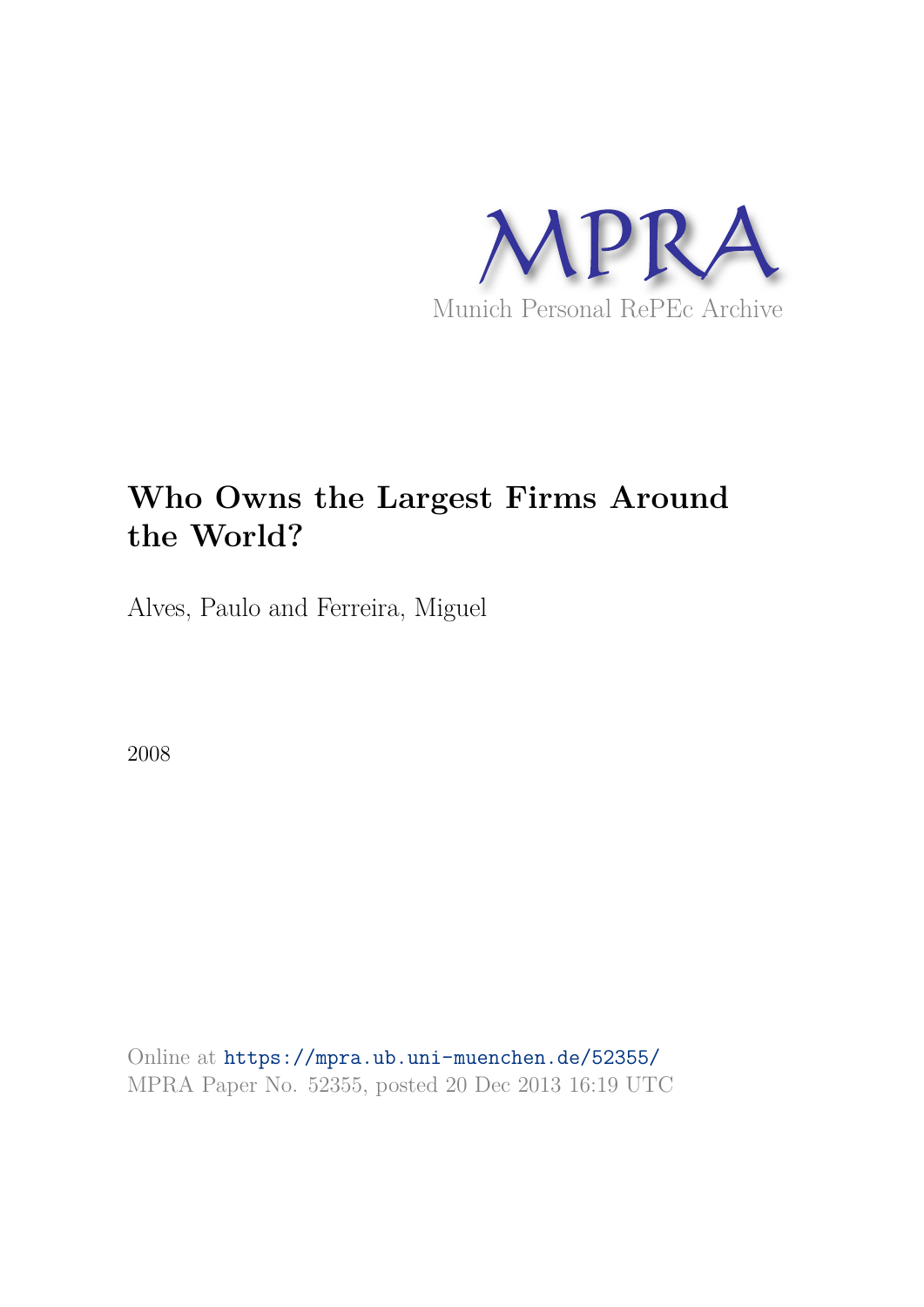

# **Who Owns the Largest Firms Around the World?**

Alves, Paulo and Ferreira, Miguel

2008

Online at https://mpra.ub.uni-muenchen.de/52355/ MPRA Paper No. 52355, posted 20 Dec 2013 16:19 UTC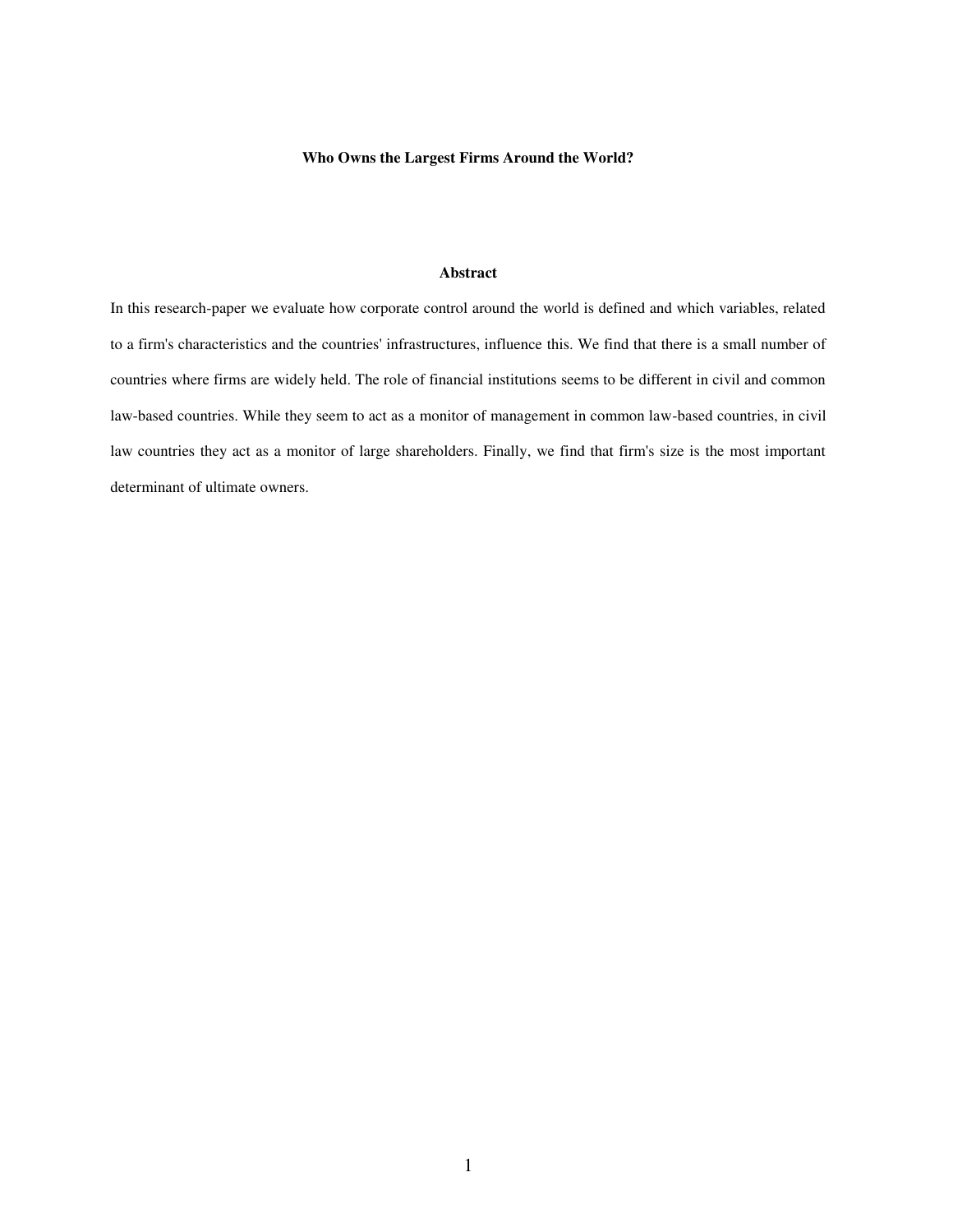# **Who Owns the Largest Firms Around the World?**

# **Abstract**

In this research-paper we evaluate how corporate control around the world is defined and which variables, related to a firm's characteristics and the countries' infrastructures, influence this. We find that there is a small number of countries where firms are widely held. The role of financial institutions seems to be different in civil and common law-based countries. While they seem to act as a monitor of management in common law-based countries, in civil law countries they act as a monitor of large shareholders. Finally, we find that firm's size is the most important determinant of ultimate owners.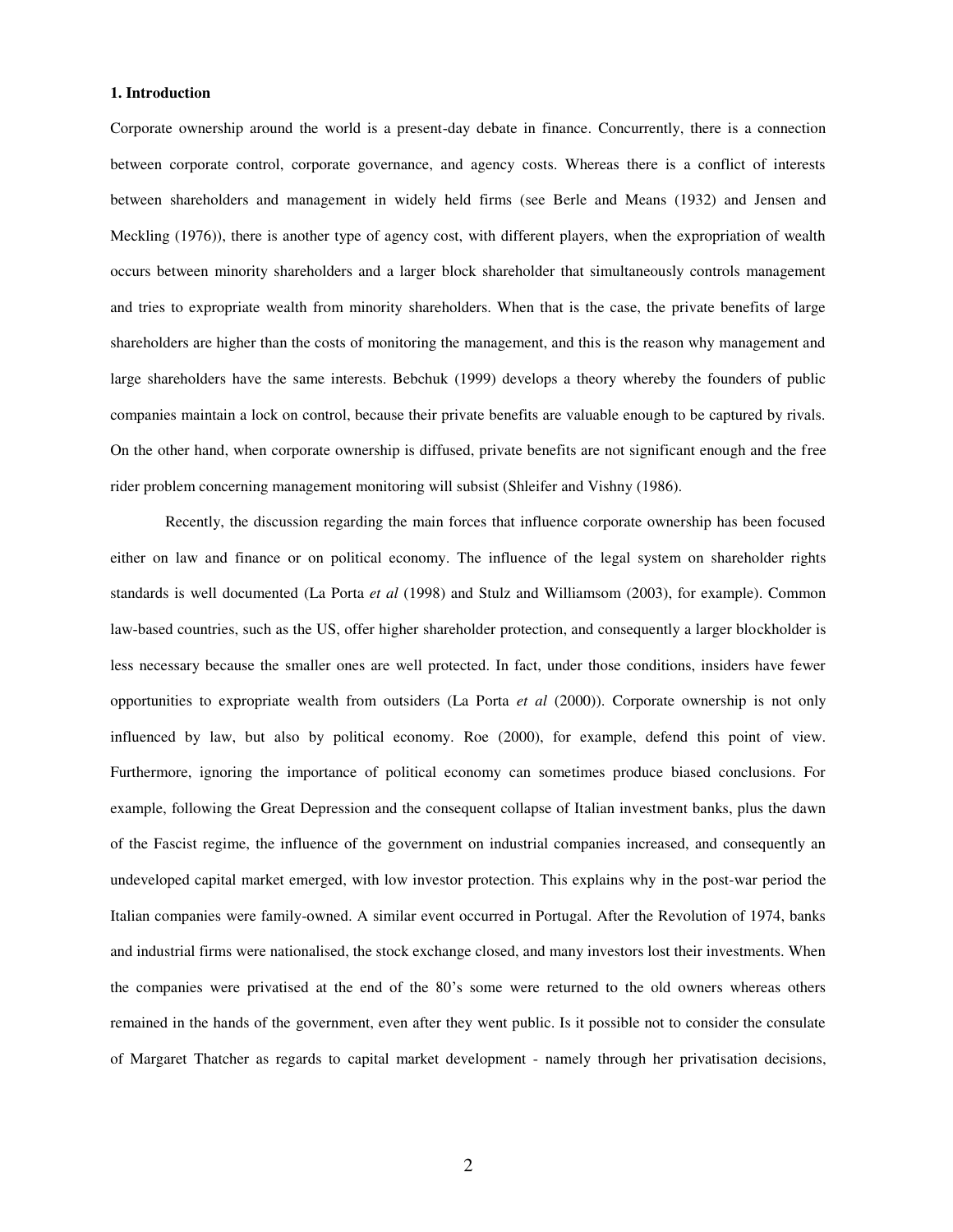# **1. Introduction**

Corporate ownership around the world is a present-day debate in finance. Concurrently, there is a connection between corporate control, corporate governance, and agency costs. Whereas there is a conflict of interests between shareholders and management in widely held firms (see Berle and Means (1932) and Jensen and Meckling (1976)), there is another type of agency cost, with different players, when the expropriation of wealth occurs between minority shareholders and a larger block shareholder that simultaneously controls management and tries to expropriate wealth from minority shareholders. When that is the case, the private benefits of large shareholders are higher than the costs of monitoring the management, and this is the reason why management and large shareholders have the same interests. Bebchuk (1999) develops a theory whereby the founders of public companies maintain a lock on control, because their private benefits are valuable enough to be captured by rivals. On the other hand, when corporate ownership is diffused, private benefits are not significant enough and the free rider problem concerning management monitoring will subsist (Shleifer and Vishny (1986).

Recently, the discussion regarding the main forces that influence corporate ownership has been focused either on law and finance or on political economy. The influence of the legal system on shareholder rights standards is well documented (La Porta *et al* (1998) and Stulz and Williamsom (2003), for example). Common law-based countries, such as the US, offer higher shareholder protection, and consequently a larger blockholder is less necessary because the smaller ones are well protected. In fact, under those conditions, insiders have fewer opportunities to expropriate wealth from outsiders (La Porta *et al* (2000)). Corporate ownership is not only influenced by law, but also by political economy. Roe (2000), for example, defend this point of view. Furthermore, ignoring the importance of political economy can sometimes produce biased conclusions. For example, following the Great Depression and the consequent collapse of Italian investment banks, plus the dawn of the Fascist regime, the influence of the government on industrial companies increased, and consequently an undeveloped capital market emerged, with low investor protection. This explains why in the post-war period the Italian companies were family-owned. A similar event occurred in Portugal. After the Revolution of 1974, banks and industrial firms were nationalised, the stock exchange closed, and many investors lost their investments. When the companies were privatised at the end of the 80's some were returned to the old owners whereas others remained in the hands of the government, even after they went public. Is it possible not to consider the consulate of Margaret Thatcher as regards to capital market development - namely through her privatisation decisions,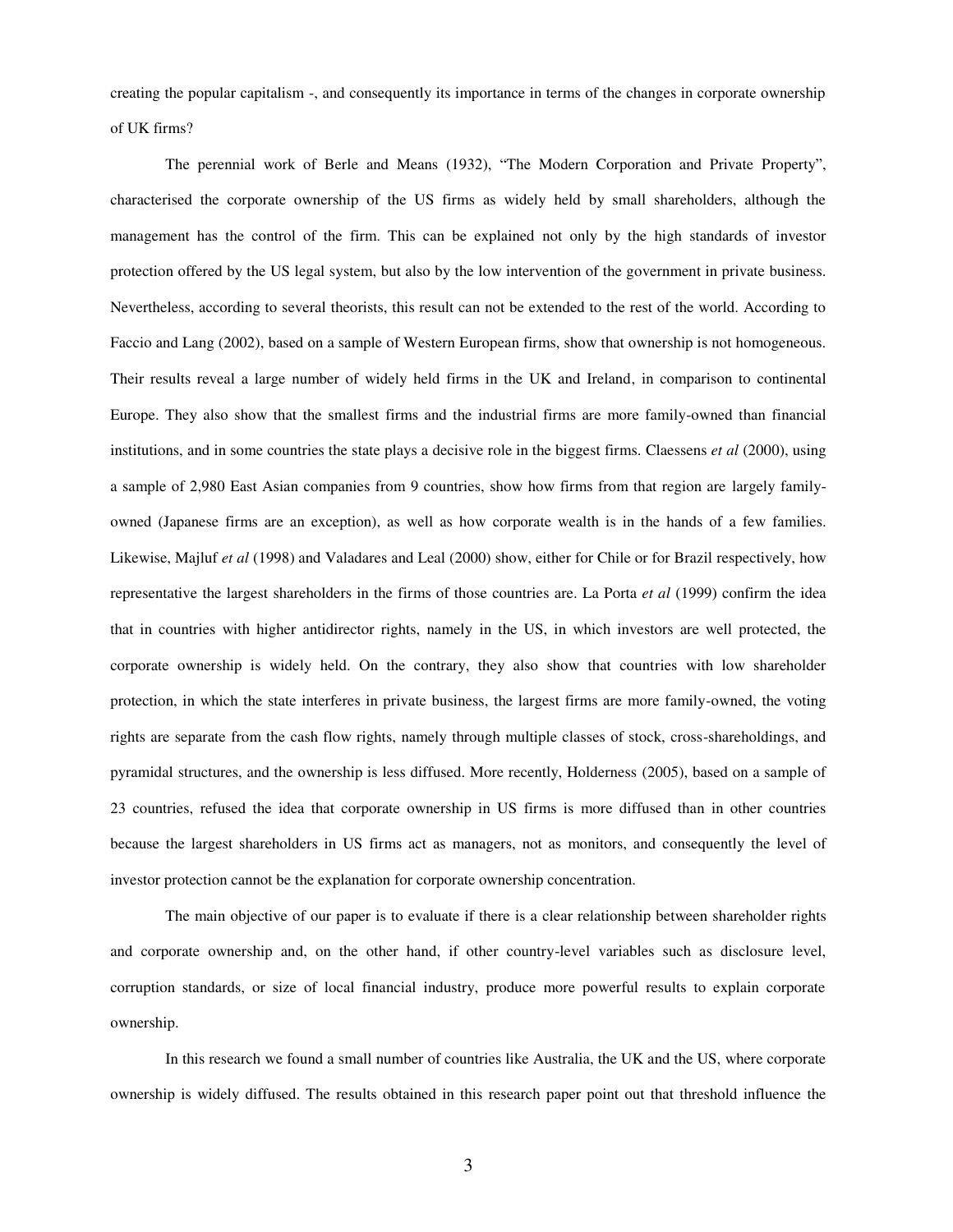creating the popular capitalism -, and consequently its importance in terms of the changes in corporate ownership of UK firms?

The perennial work of Berle and Means (1932), "The Modern Corporation and Private Property", characterised the corporate ownership of the US firms as widely held by small shareholders, although the management has the control of the firm. This can be explained not only by the high standards of investor protection offered by the US legal system, but also by the low intervention of the government in private business. Nevertheless, according to several theorists, this result can not be extended to the rest of the world. According to Faccio and Lang (2002), based on a sample of Western European firms, show that ownership is not homogeneous. Their results reveal a large number of widely held firms in the UK and Ireland, in comparison to continental Europe. They also show that the smallest firms and the industrial firms are more family-owned than financial institutions, and in some countries the state plays a decisive role in the biggest firms. Claessens *et al* (2000), using a sample of 2,980 East Asian companies from 9 countries, show how firms from that region are largely familyowned (Japanese firms are an exception), as well as how corporate wealth is in the hands of a few families. Likewise, Majluf *et al* (1998) and Valadares and Leal (2000) show, either for Chile or for Brazil respectively, how representative the largest shareholders in the firms of those countries are. La Porta *et al* (1999) confirm the idea that in countries with higher antidirector rights, namely in the US, in which investors are well protected, the corporate ownership is widely held. On the contrary, they also show that countries with low shareholder protection, in which the state interferes in private business, the largest firms are more family-owned, the voting rights are separate from the cash flow rights, namely through multiple classes of stock, cross-shareholdings, and pyramidal structures, and the ownership is less diffused. More recently, Holderness (2005), based on a sample of 23 countries, refused the idea that corporate ownership in US firms is more diffused than in other countries because the largest shareholders in US firms act as managers, not as monitors, and consequently the level of investor protection cannot be the explanation for corporate ownership concentration.

The main objective of our paper is to evaluate if there is a clear relationship between shareholder rights and corporate ownership and, on the other hand, if other country-level variables such as disclosure level, corruption standards, or size of local financial industry, produce more powerful results to explain corporate ownership.

In this research we found a small number of countries like Australia, the UK and the US, where corporate ownership is widely diffused. The results obtained in this research paper point out that threshold influence the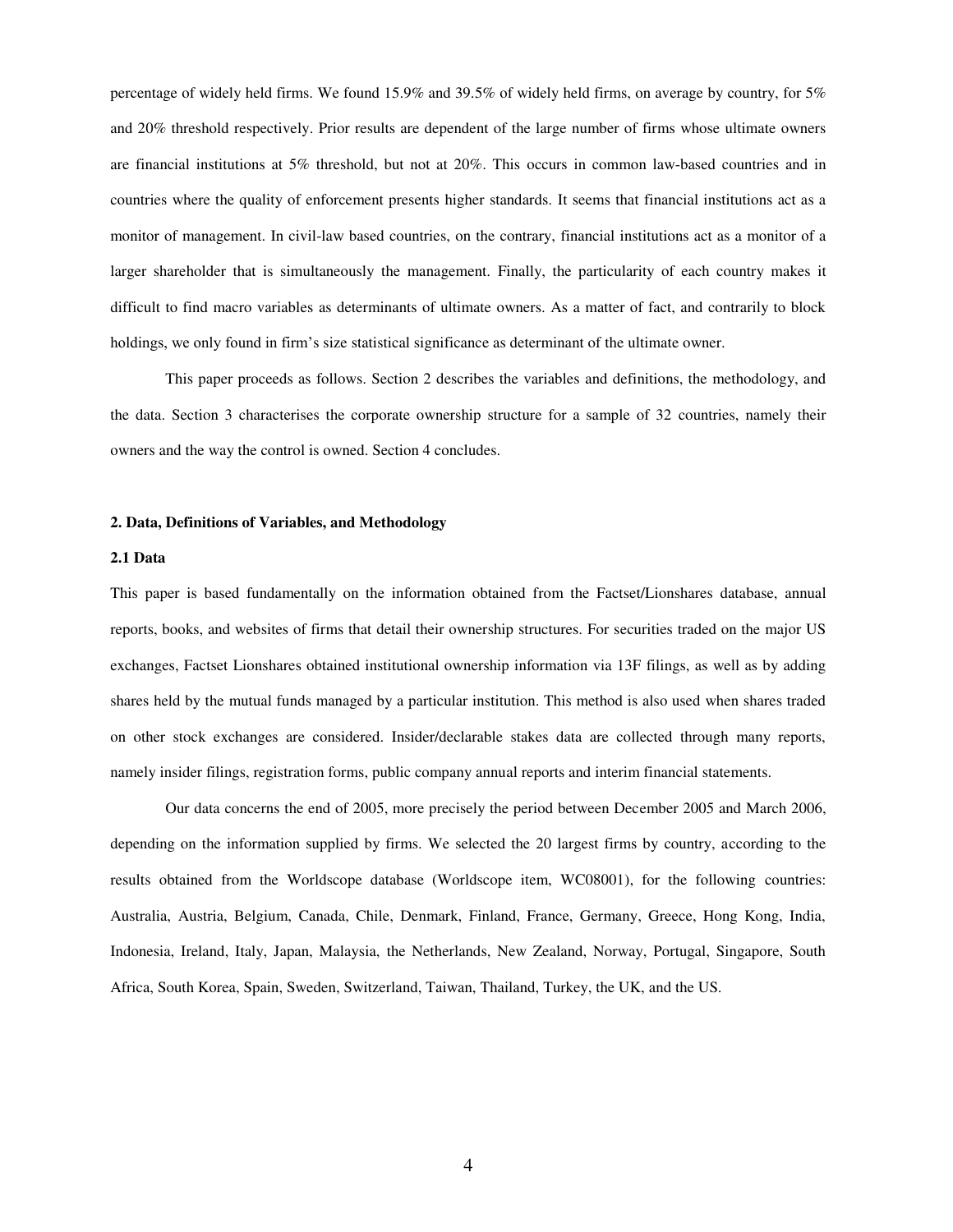percentage of widely held firms. We found 15.9% and 39.5% of widely held firms, on average by country, for 5% and 20% threshold respectively. Prior results are dependent of the large number of firms whose ultimate owners are financial institutions at 5% threshold, but not at 20%. This occurs in common law-based countries and in countries where the quality of enforcement presents higher standards. It seems that financial institutions act as a monitor of management. In civil-law based countries, on the contrary, financial institutions act as a monitor of a larger shareholder that is simultaneously the management. Finally, the particularity of each country makes it difficult to find macro variables as determinants of ultimate owners. As a matter of fact, and contrarily to block holdings, we only found in firm's size statistical significance as determinant of the ultimate owner.

This paper proceeds as follows. Section 2 describes the variables and definitions, the methodology, and the data. Section 3 characterises the corporate ownership structure for a sample of 32 countries, namely their owners and the way the control is owned. Section 4 concludes.

#### **2. Data, Definitions of Variables, and Methodology**

#### **2.1 Data**

This paper is based fundamentally on the information obtained from the Factset/Lionshares database, annual reports, books, and websites of firms that detail their ownership structures. For securities traded on the major US exchanges, Factset Lionshares obtained institutional ownership information via 13F filings, as well as by adding shares held by the mutual funds managed by a particular institution. This method is also used when shares traded on other stock exchanges are considered. Insider/declarable stakes data are collected through many reports, namely insider filings, registration forms, public company annual reports and interim financial statements.

Our data concerns the end of 2005, more precisely the period between December 2005 and March 2006, depending on the information supplied by firms. We selected the 20 largest firms by country, according to the results obtained from the Worldscope database (Worldscope item, WC08001), for the following countries: Australia, Austria, Belgium, Canada, Chile, Denmark, Finland, France, Germany, Greece, Hong Kong, India, Indonesia, Ireland, Italy, Japan, Malaysia, the Netherlands, New Zealand, Norway, Portugal, Singapore, South Africa, South Korea, Spain, Sweden, Switzerland, Taiwan, Thailand, Turkey, the UK, and the US.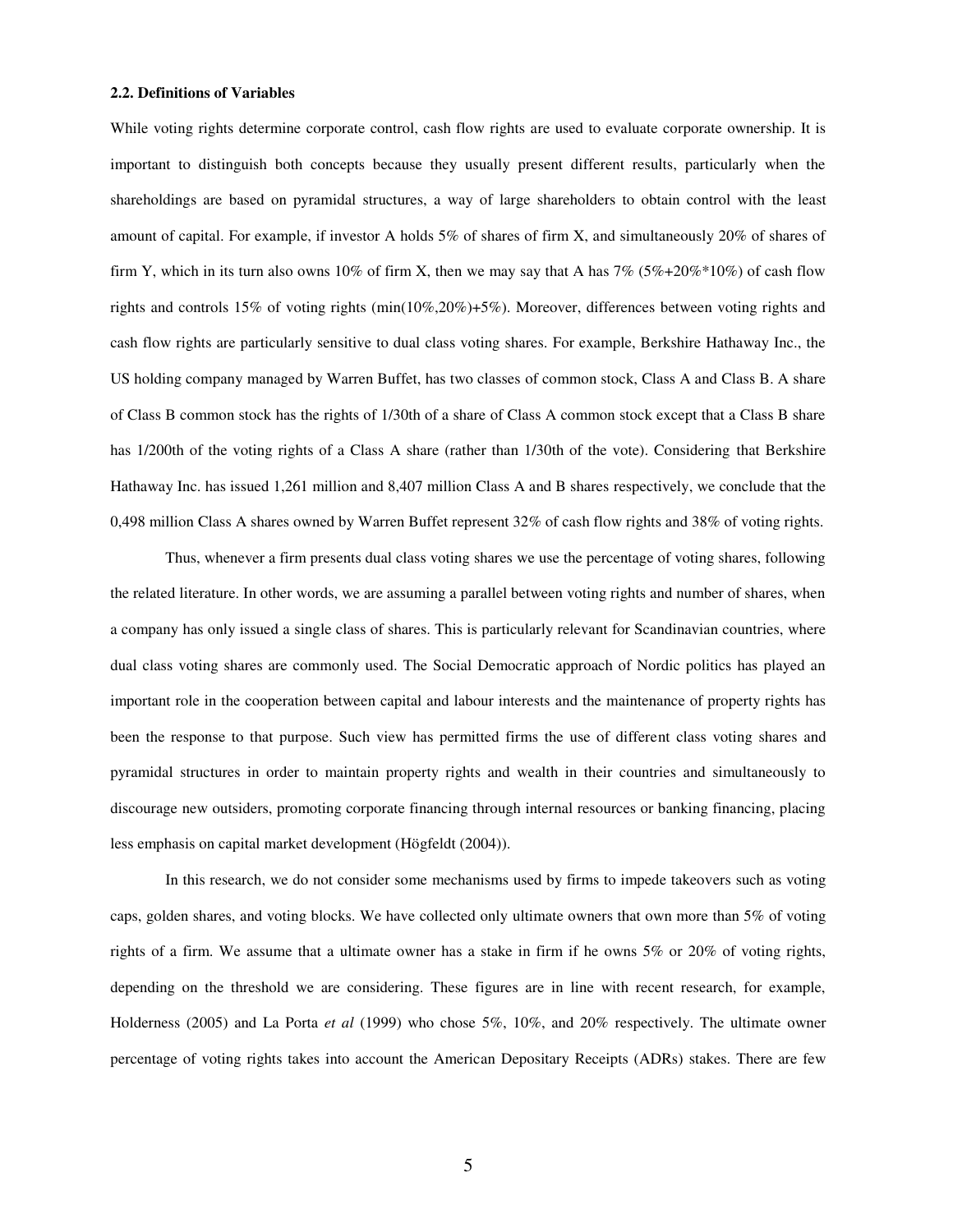#### **2.2. Definitions of Variables**

While voting rights determine corporate control, cash flow rights are used to evaluate corporate ownership. It is important to distinguish both concepts because they usually present different results, particularly when the shareholdings are based on pyramidal structures, a way of large shareholders to obtain control with the least amount of capital. For example, if investor A holds 5% of shares of firm X, and simultaneously 20% of shares of firm Y, which in its turn also owns 10% of firm X, then we may say that A has  $7\%$  ( $5\%+20\%*10\%$ ) of cash flow rights and controls 15% of voting rights (min(10%,20%)+5%). Moreover, differences between voting rights and cash flow rights are particularly sensitive to dual class voting shares. For example, Berkshire Hathaway Inc., the US holding company managed by Warren Buffet, has two classes of common stock, Class A and Class B. A share of Class B common stock has the rights of 1/30th of a share of Class A common stock except that a Class B share has 1/200th of the voting rights of a Class A share (rather than 1/30th of the vote). Considering that Berkshire Hathaway Inc. has issued 1,261 million and 8,407 million Class A and B shares respectively, we conclude that the 0,498 million Class A shares owned by Warren Buffet represent 32% of cash flow rights and 38% of voting rights.

Thus, whenever a firm presents dual class voting shares we use the percentage of voting shares, following the related literature. In other words, we are assuming a parallel between voting rights and number of shares, when a company has only issued a single class of shares. This is particularly relevant for Scandinavian countries, where dual class voting shares are commonly used. The Social Democratic approach of Nordic politics has played an important role in the cooperation between capital and labour interests and the maintenance of property rights has been the response to that purpose. Such view has permitted firms the use of different class voting shares and pyramidal structures in order to maintain property rights and wealth in their countries and simultaneously to discourage new outsiders, promoting corporate financing through internal resources or banking financing, placing less emphasis on capital market development (Högfeldt (2004)).

In this research, we do not consider some mechanisms used by firms to impede takeovers such as voting caps, golden shares, and voting blocks. We have collected only ultimate owners that own more than 5% of voting rights of a firm. We assume that a ultimate owner has a stake in firm if he owns 5% or 20% of voting rights, depending on the threshold we are considering. These figures are in line with recent research, for example, Holderness (2005) and La Porta *et al* (1999) who chose 5%, 10%, and 20% respectively. The ultimate owner percentage of voting rights takes into account the American Depositary Receipts (ADRs) stakes. There are few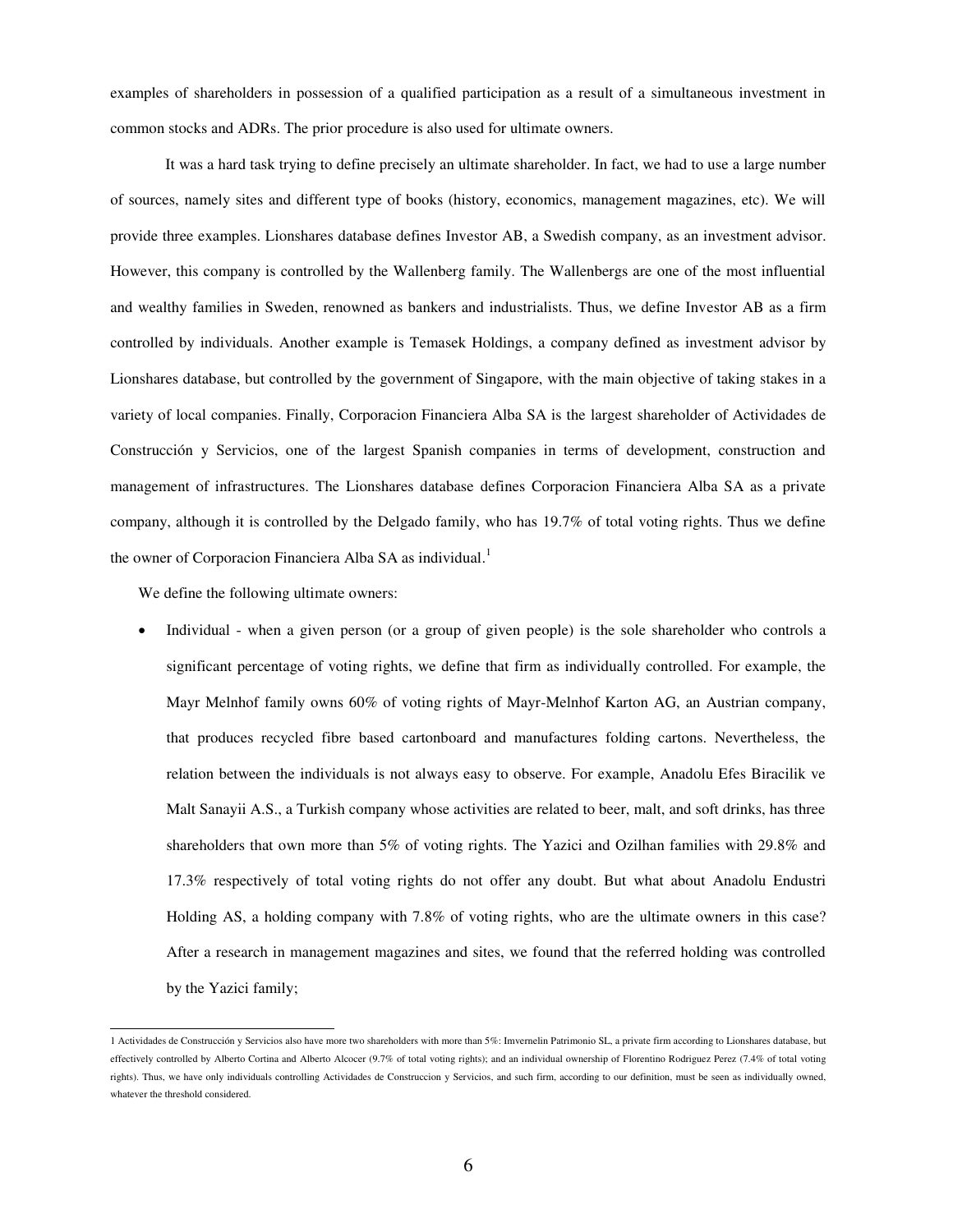examples of shareholders in possession of a qualified participation as a result of a simultaneous investment in common stocks and ADRs. The prior procedure is also used for ultimate owners.

It was a hard task trying to define precisely an ultimate shareholder. In fact, we had to use a large number of sources, namely sites and different type of books (history, economics, management magazines, etc). We will provide three examples. Lionshares database defines Investor AB, a Swedish company, as an investment advisor. However, this company is controlled by the Wallenberg family. The Wallenbergs are one of the most influential and wealthy families in Sweden, renowned as bankers and industrialists. Thus, we define Investor AB as a firm controlled by individuals. Another example is Temasek Holdings, a company defined as investment advisor by Lionshares database, but controlled by the government of Singapore, with the main objective of taking stakes in a variety of local companies. Finally, Corporacion Financiera Alba SA is the largest shareholder of Actividades de Construcción y Servicios, one of the largest Spanish companies in terms of development, construction and management of infrastructures. The Lionshares database defines Corporacion Financiera Alba SA as a private company, although it is controlled by the Delgado family, who has 19.7% of total voting rights. Thus we define the owner of Corporacion Financiera Alba SA as individual.<sup>1</sup>

We define the following ultimate owners:

 Individual - when a given person (or a group of given people) is the sole shareholder who controls a significant percentage of voting rights, we define that firm as individually controlled. For example, the Mayr Melnhof family owns 60% of voting rights of Mayr-Melnhof Karton AG, an Austrian company, that produces recycled fibre based cartonboard and manufactures folding cartons. Nevertheless, the relation between the individuals is not always easy to observe. For example, Anadolu Efes Biracilik ve Malt Sanayii A.S., a Turkish company whose activities are related to beer, malt, and soft drinks, has three shareholders that own more than 5% of voting rights. The Yazici and Ozilhan families with 29.8% and 17.3% respectively of total voting rights do not offer any doubt. But what about Anadolu Endustri Holding AS, a holding company with 7.8% of voting rights, who are the ultimate owners in this case? After a research in management magazines and sites, we found that the referred holding was controlled by the Yazici family;

 1 Actividades de Construcción y Servicios also have more two shareholders with more than 5%: Imvernelin Patrimonio SL, a private firm according to Lionshares database, but effectively controlled by Alberto Cortina and Alberto Alcocer (9.7% of total voting rights); and an individual ownership of Florentino Rodriguez Perez (7.4% of total voting rights). Thus, we have only individuals controlling Actividades de Construccion y Servicios, and such firm, according to our definition, must be seen as individually owned, whatever the threshold considered.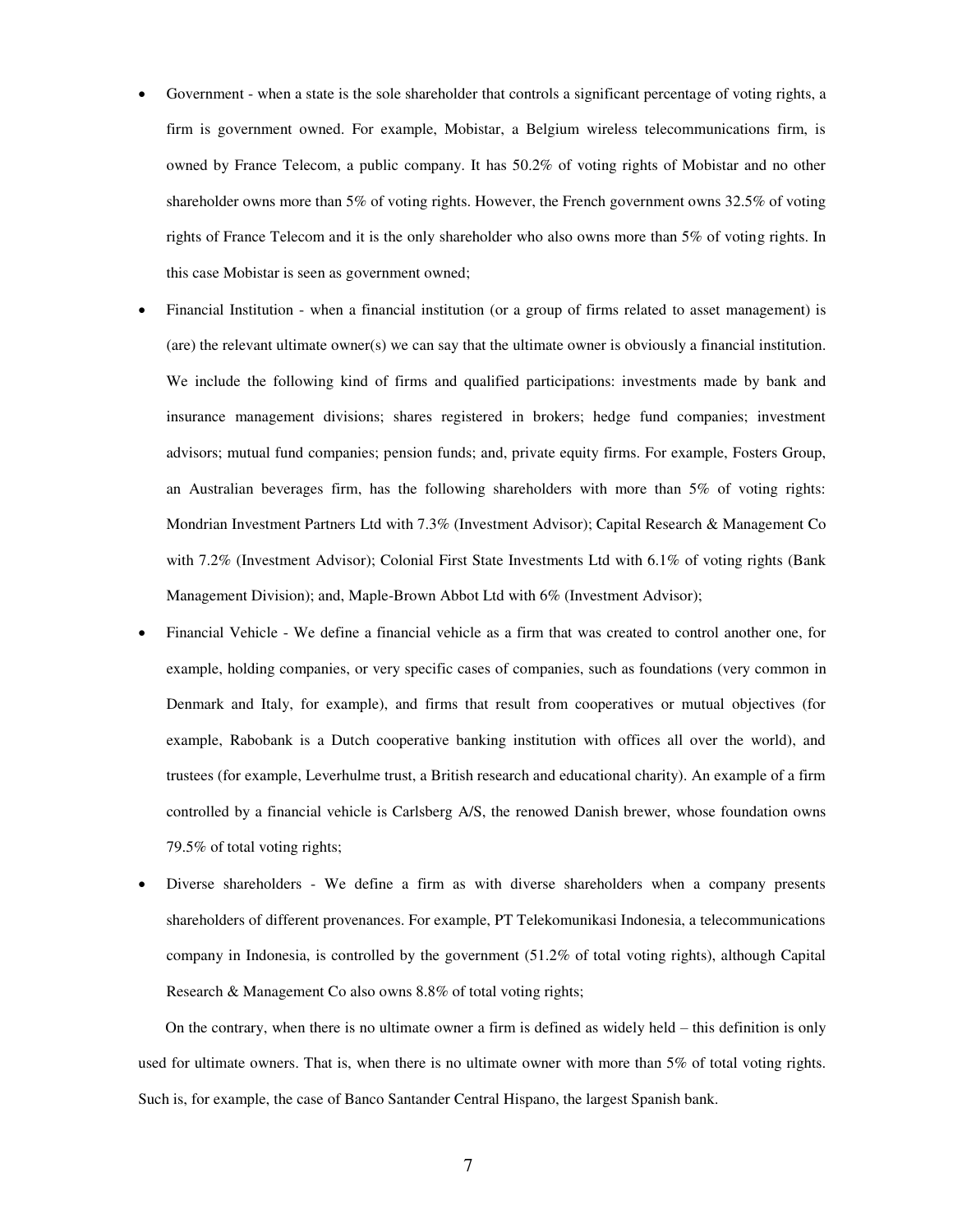- Government when a state is the sole shareholder that controls a significant percentage of voting rights, a firm is government owned. For example, Mobistar, a Belgium wireless telecommunications firm, is owned by France Telecom, a public company. It has 50.2% of voting rights of Mobistar and no other shareholder owns more than 5% of voting rights. However, the French government owns 32.5% of voting rights of France Telecom and it is the only shareholder who also owns more than 5% of voting rights. In this case Mobistar is seen as government owned;
- Financial Institution when a financial institution (or a group of firms related to asset management) is (are) the relevant ultimate owner(s) we can say that the ultimate owner is obviously a financial institution. We include the following kind of firms and qualified participations: investments made by bank and insurance management divisions; shares registered in brokers; hedge fund companies; investment advisors; mutual fund companies; pension funds; and, private equity firms. For example, Fosters Group, an Australian beverages firm, has the following shareholders with more than 5% of voting rights: Mondrian Investment Partners Ltd with 7.3% (Investment Advisor); Capital Research & Management Co with 7.2% (Investment Advisor); Colonial First State Investments Ltd with 6.1% of voting rights (Bank Management Division); and, Maple-Brown Abbot Ltd with 6% (Investment Advisor);
- Financial Vehicle We define a financial vehicle as a firm that was created to control another one, for example, holding companies, or very specific cases of companies, such as foundations (very common in Denmark and Italy, for example), and firms that result from cooperatives or mutual objectives (for example, Rabobank is a Dutch cooperative banking institution with offices all over the world), and trustees (for example, Leverhulme trust, a British research and educational charity). An example of a firm controlled by a financial vehicle is Carlsberg A/S, the renowed Danish brewer, whose foundation owns 79.5% of total voting rights;
- Diverse shareholders We define a firm as with diverse shareholders when a company presents shareholders of different provenances. For example, PT Telekomunikasi Indonesia, a telecommunications company in Indonesia, is controlled by the government (51.2% of total voting rights), although Capital Research & Management Co also owns 8.8% of total voting rights;

On the contrary, when there is no ultimate owner a firm is defined as widely held – this definition is only used for ultimate owners. That is, when there is no ultimate owner with more than 5% of total voting rights. Such is, for example, the case of Banco Santander Central Hispano, the largest Spanish bank.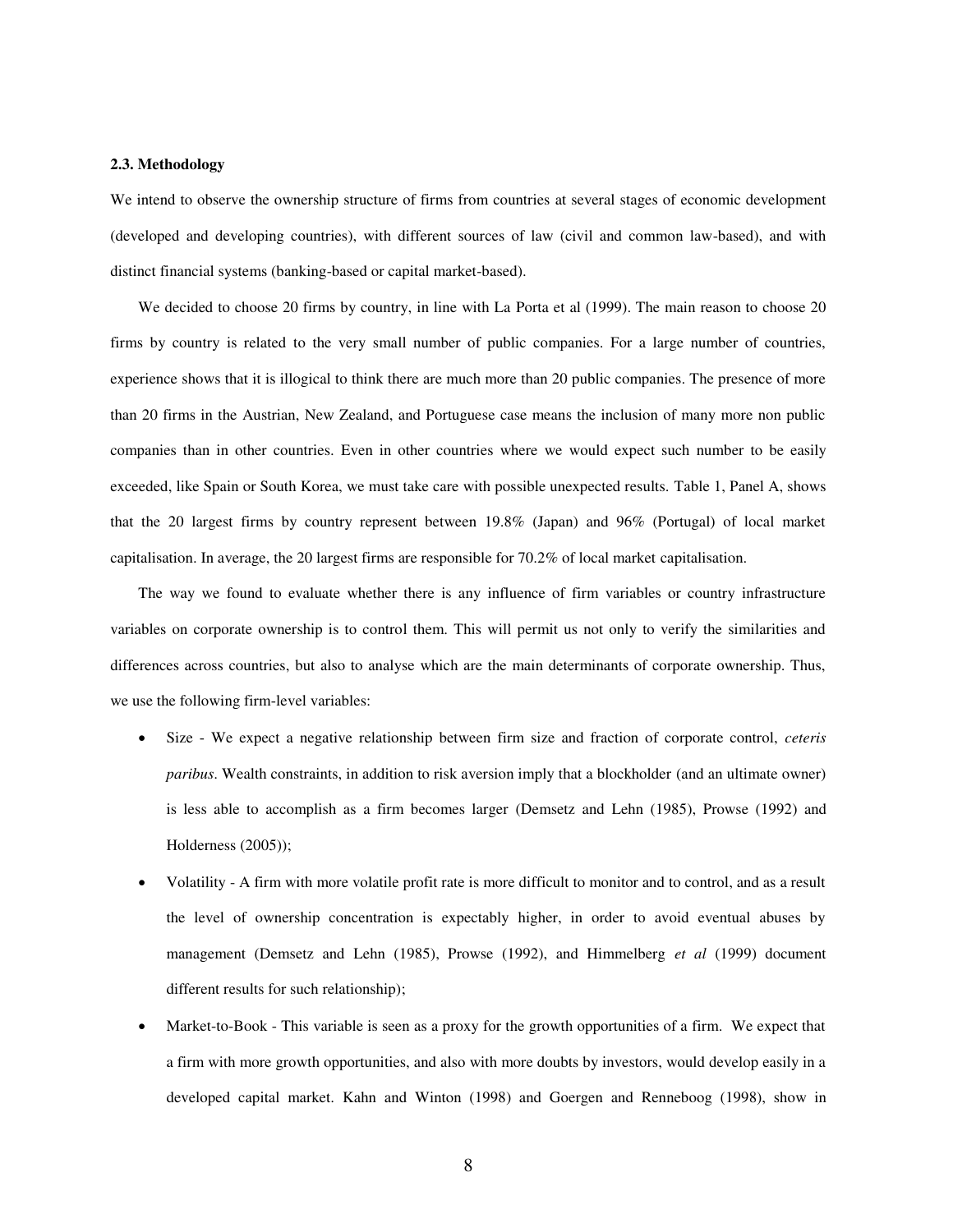#### **2.3. Methodology**

We intend to observe the ownership structure of firms from countries at several stages of economic development (developed and developing countries), with different sources of law (civil and common law-based), and with distinct financial systems (banking-based or capital market-based).

We decided to choose 20 firms by country, in line with La Porta et al (1999). The main reason to choose 20 firms by country is related to the very small number of public companies. For a large number of countries, experience shows that it is illogical to think there are much more than 20 public companies. The presence of more than 20 firms in the Austrian, New Zealand, and Portuguese case means the inclusion of many more non public companies than in other countries. Even in other countries where we would expect such number to be easily exceeded, like Spain or South Korea, we must take care with possible unexpected results. Table 1, Panel A, shows that the 20 largest firms by country represent between 19.8% (Japan) and 96% (Portugal) of local market capitalisation. In average, the 20 largest firms are responsible for 70.2% of local market capitalisation.

The way we found to evaluate whether there is any influence of firm variables or country infrastructure variables on corporate ownership is to control them. This will permit us not only to verify the similarities and differences across countries, but also to analyse which are the main determinants of corporate ownership. Thus, we use the following firm-level variables:

- Size We expect a negative relationship between firm size and fraction of corporate control, *ceteris paribus*. Wealth constraints, in addition to risk aversion imply that a blockholder (and an ultimate owner) is less able to accomplish as a firm becomes larger (Demsetz and Lehn (1985), Prowse (1992) and Holderness (2005));
- Volatility A firm with more volatile profit rate is more difficult to monitor and to control, and as a result the level of ownership concentration is expectably higher, in order to avoid eventual abuses by management (Demsetz and Lehn (1985), Prowse (1992), and Himmelberg *et al* (1999) document different results for such relationship);
- Market-to-Book This variable is seen as a proxy for the growth opportunities of a firm. We expect that a firm with more growth opportunities, and also with more doubts by investors, would develop easily in a developed capital market. Kahn and Winton (1998) and Goergen and Renneboog (1998), show in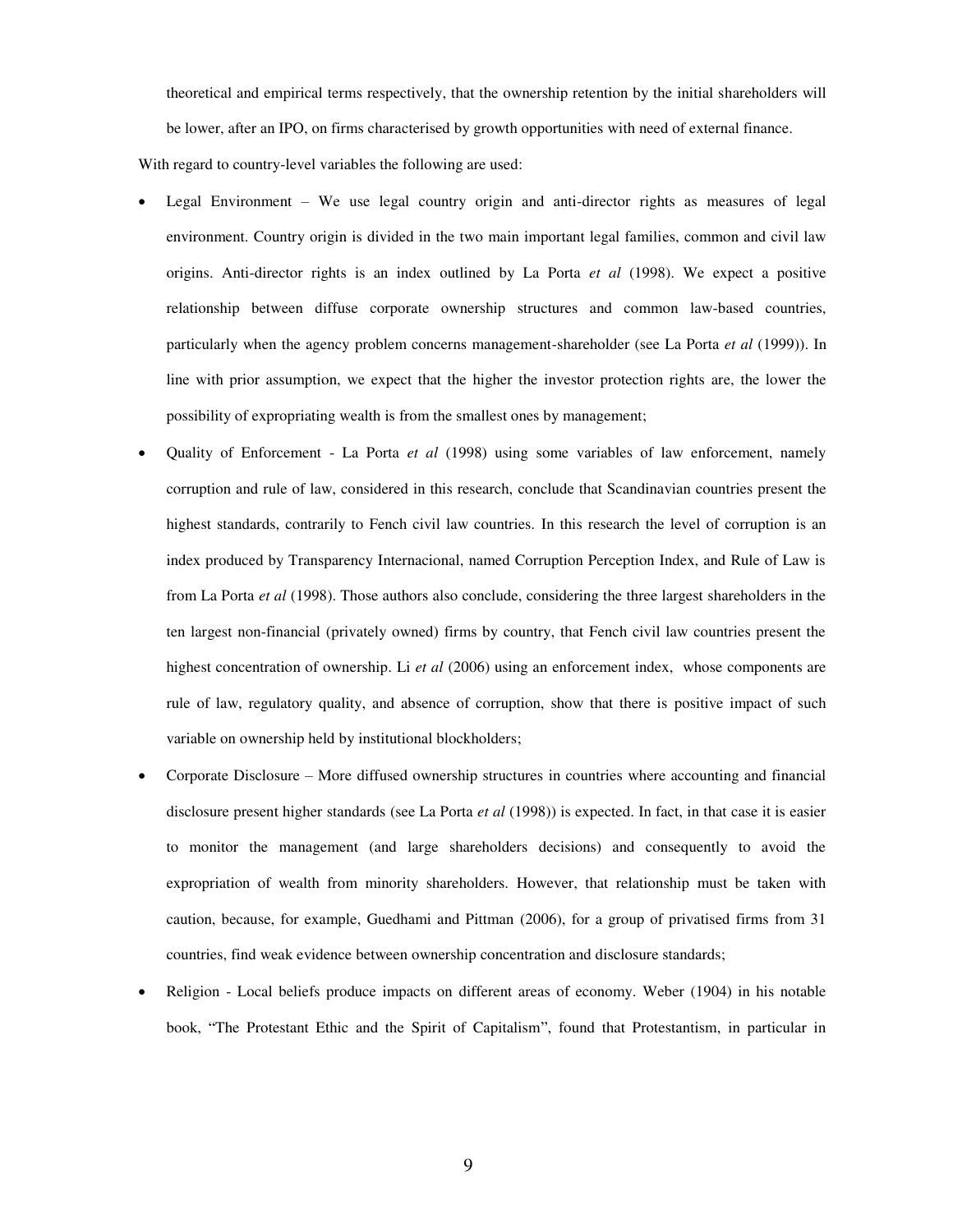theoretical and empirical terms respectively, that the ownership retention by the initial shareholders will be lower, after an IPO, on firms characterised by growth opportunities with need of external finance.

With regard to country-level variables the following are used:

- Legal Environment We use legal country origin and anti-director rights as measures of legal environment. Country origin is divided in the two main important legal families, common and civil law origins. Anti-director rights is an index outlined by La Porta *et al* (1998). We expect a positive relationship between diffuse corporate ownership structures and common law-based countries, particularly when the agency problem concerns management-shareholder (see La Porta *et al* (1999)). In line with prior assumption, we expect that the higher the investor protection rights are, the lower the possibility of expropriating wealth is from the smallest ones by management;
- Quality of Enforcement La Porta *et al* (1998) using some variables of law enforcement, namely corruption and rule of law, considered in this research, conclude that Scandinavian countries present the highest standards, contrarily to Fench civil law countries. In this research the level of corruption is an index produced by Transparency Internacional, named Corruption Perception Index, and Rule of Law is from La Porta *et al* (1998). Those authors also conclude, considering the three largest shareholders in the ten largest non-financial (privately owned) firms by country, that Fench civil law countries present the highest concentration of ownership. Li *et al* (2006) using an enforcement index, whose components are rule of law, regulatory quality, and absence of corruption, show that there is positive impact of such variable on ownership held by institutional blockholders;
- Corporate Disclosure More diffused ownership structures in countries where accounting and financial disclosure present higher standards (see La Porta *et al* (1998)) is expected. In fact, in that case it is easier to monitor the management (and large shareholders decisions) and consequently to avoid the expropriation of wealth from minority shareholders. However, that relationship must be taken with caution, because, for example, Guedhami and Pittman (2006), for a group of privatised firms from 31 countries, find weak evidence between ownership concentration and disclosure standards;
- Religion Local beliefs produce impacts on different areas of economy. Weber (1904) in his notable book, "The Protestant Ethic and the Spirit of Capitalism", found that Protestantism, in particular in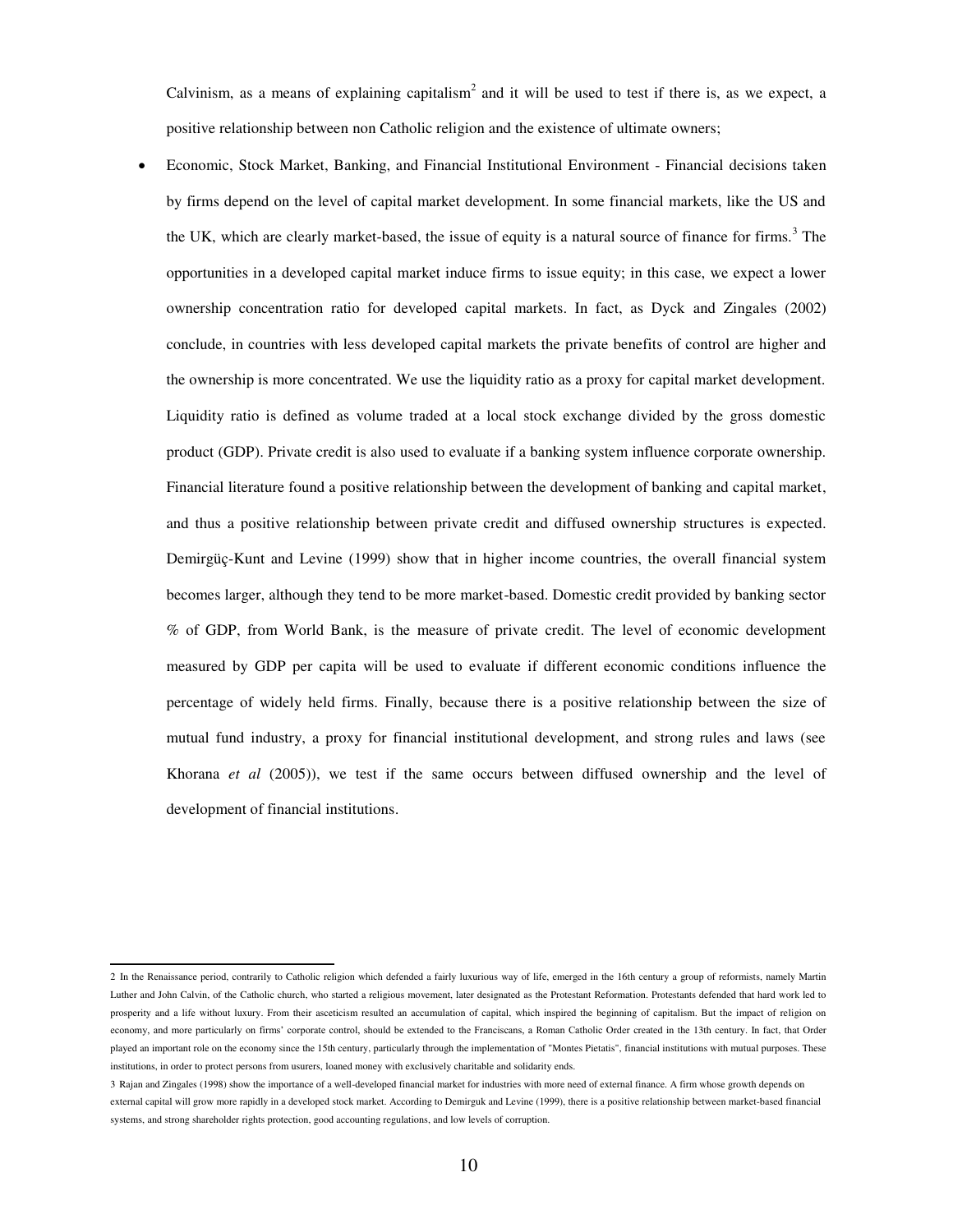Calvinism, as a means of explaining capitalism<sup>2</sup> and it will be used to test if there is, as we expect, a positive relationship between non Catholic religion and the existence of ultimate owners;

 Economic, Stock Market, Banking, and Financial Institutional Environment - Financial decisions taken by firms depend on the level of capital market development. In some financial markets, like the US and the UK, which are clearly market-based, the issue of equity is a natural source of finance for firms.<sup>3</sup> The opportunities in a developed capital market induce firms to issue equity; in this case, we expect a lower ownership concentration ratio for developed capital markets. In fact, as Dyck and Zingales (2002) conclude, in countries with less developed capital markets the private benefits of control are higher and the ownership is more concentrated. We use the liquidity ratio as a proxy for capital market development. Liquidity ratio is defined as volume traded at a local stock exchange divided by the gross domestic product (GDP). Private credit is also used to evaluate if a banking system influence corporate ownership. Financial literature found a positive relationship between the development of banking and capital market, and thus a positive relationship between private credit and diffused ownership structures is expected. Demirgüç-Kunt and Levine (1999) show that in higher income countries, the overall financial system becomes larger, although they tend to be more market-based. Domestic credit provided by banking sector % of GDP, from World Bank, is the measure of private credit. The level of economic development measured by GDP per capita will be used to evaluate if different economic conditions influence the percentage of widely held firms. Finally, because there is a positive relationship between the size of mutual fund industry, a proxy for financial institutional development, and strong rules and laws (see Khorana *et al* (2005)), we test if the same occurs between diffused ownership and the level of development of financial institutions.

 2 In the Renaissance period, contrarily to Catholic religion which defended a fairly luxurious way of life, emerged in the 16th century a group of reformists, namely Martin Luther and John Calvin, of the Catholic church, who started a religious movement, later designated as the Protestant Reformation. Protestants defended that hard work led to prosperity and a life without luxury. From their asceticism resulted an accumulation of capital, which inspired the beginning of capitalism. But the impact of religion on economy, and more particularly on firms' corporate control, should be extended to the Franciscans, a Roman Catholic Order created in the 13th century. In fact, that Order played an important role on the economy since the 15th century, particularly through the implementation of "Montes Pietatis", financial institutions with mutual purposes. These institutions, in order to protect persons from usurers, loaned money with exclusively charitable and solidarity ends.

<sup>3</sup> Rajan and Zingales (1998) show the importance of a well-developed financial market for industries with more need of external finance. A firm whose growth depends on external capital will grow more rapidly in a developed stock market. According to Demirguk and Levine (1999), there is a positive relationship between market-based financial systems, and strong shareholder rights protection, good accounting regulations, and low levels of corruption.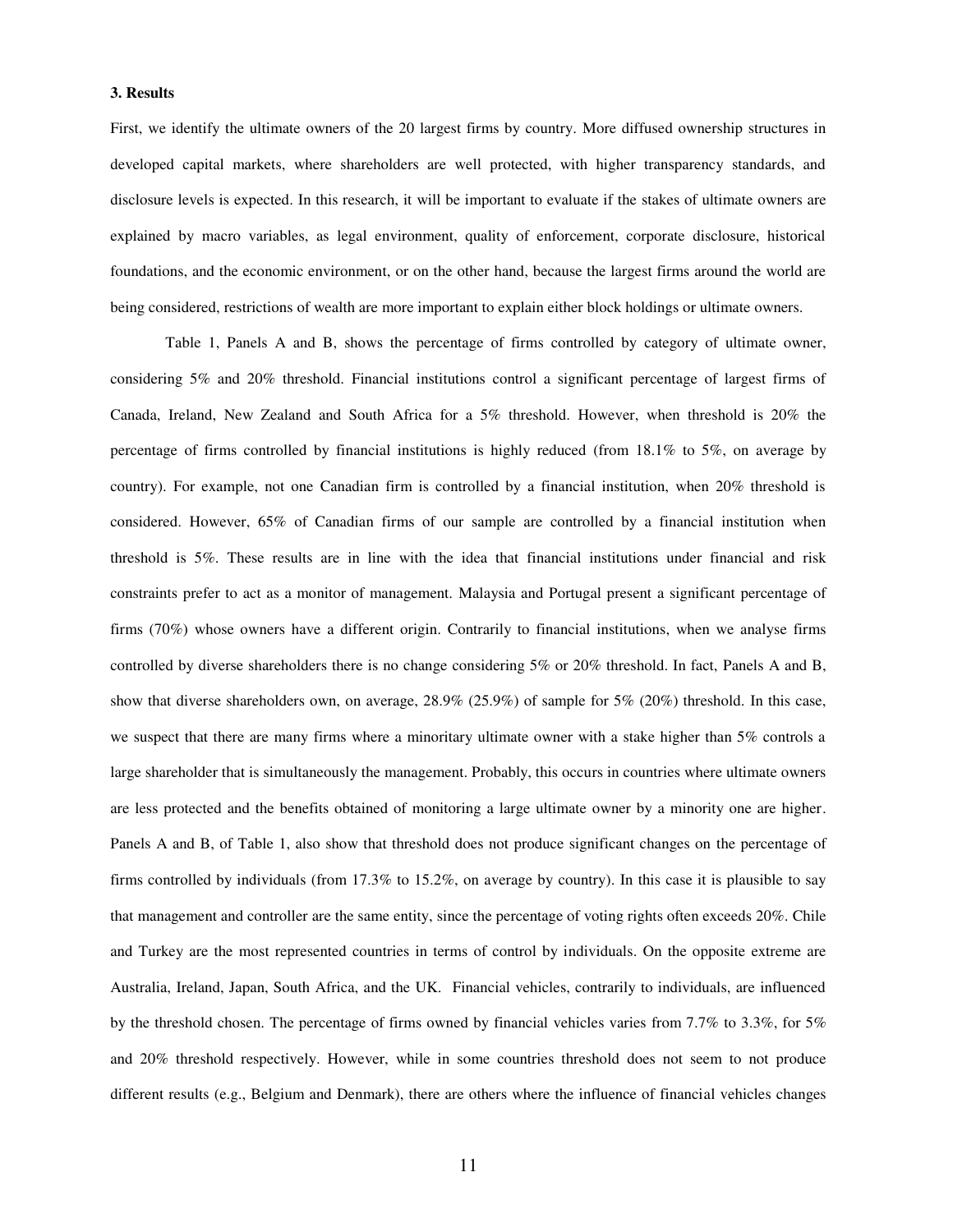#### **3. Results**

First, we identify the ultimate owners of the 20 largest firms by country. More diffused ownership structures in developed capital markets, where shareholders are well protected, with higher transparency standards, and disclosure levels is expected. In this research, it will be important to evaluate if the stakes of ultimate owners are explained by macro variables, as legal environment, quality of enforcement, corporate disclosure, historical foundations, and the economic environment, or on the other hand, because the largest firms around the world are being considered, restrictions of wealth are more important to explain either block holdings or ultimate owners.

Table 1, Panels A and B, shows the percentage of firms controlled by category of ultimate owner, considering 5% and 20% threshold. Financial institutions control a significant percentage of largest firms of Canada, Ireland, New Zealand and South Africa for a 5% threshold. However, when threshold is 20% the percentage of firms controlled by financial institutions is highly reduced (from 18.1% to 5%, on average by country). For example, not one Canadian firm is controlled by a financial institution, when 20% threshold is considered. However, 65% of Canadian firms of our sample are controlled by a financial institution when threshold is 5%. These results are in line with the idea that financial institutions under financial and risk constraints prefer to act as a monitor of management. Malaysia and Portugal present a significant percentage of firms (70%) whose owners have a different origin. Contrarily to financial institutions, when we analyse firms controlled by diverse shareholders there is no change considering 5% or 20% threshold. In fact, Panels A and B, show that diverse shareholders own, on average, 28.9% (25.9%) of sample for 5% (20%) threshold. In this case, we suspect that there are many firms where a minoritary ultimate owner with a stake higher than 5% controls a large shareholder that is simultaneously the management. Probably, this occurs in countries where ultimate owners are less protected and the benefits obtained of monitoring a large ultimate owner by a minority one are higher. Panels A and B, of Table 1, also show that threshold does not produce significant changes on the percentage of firms controlled by individuals (from 17.3% to 15.2%, on average by country). In this case it is plausible to say that management and controller are the same entity, since the percentage of voting rights often exceeds 20%. Chile and Turkey are the most represented countries in terms of control by individuals. On the opposite extreme are Australia, Ireland, Japan, South Africa, and the UK. Financial vehicles, contrarily to individuals, are influenced by the threshold chosen. The percentage of firms owned by financial vehicles varies from 7.7% to 3.3%, for 5% and 20% threshold respectively. However, while in some countries threshold does not seem to not produce different results (e.g., Belgium and Denmark), there are others where the influence of financial vehicles changes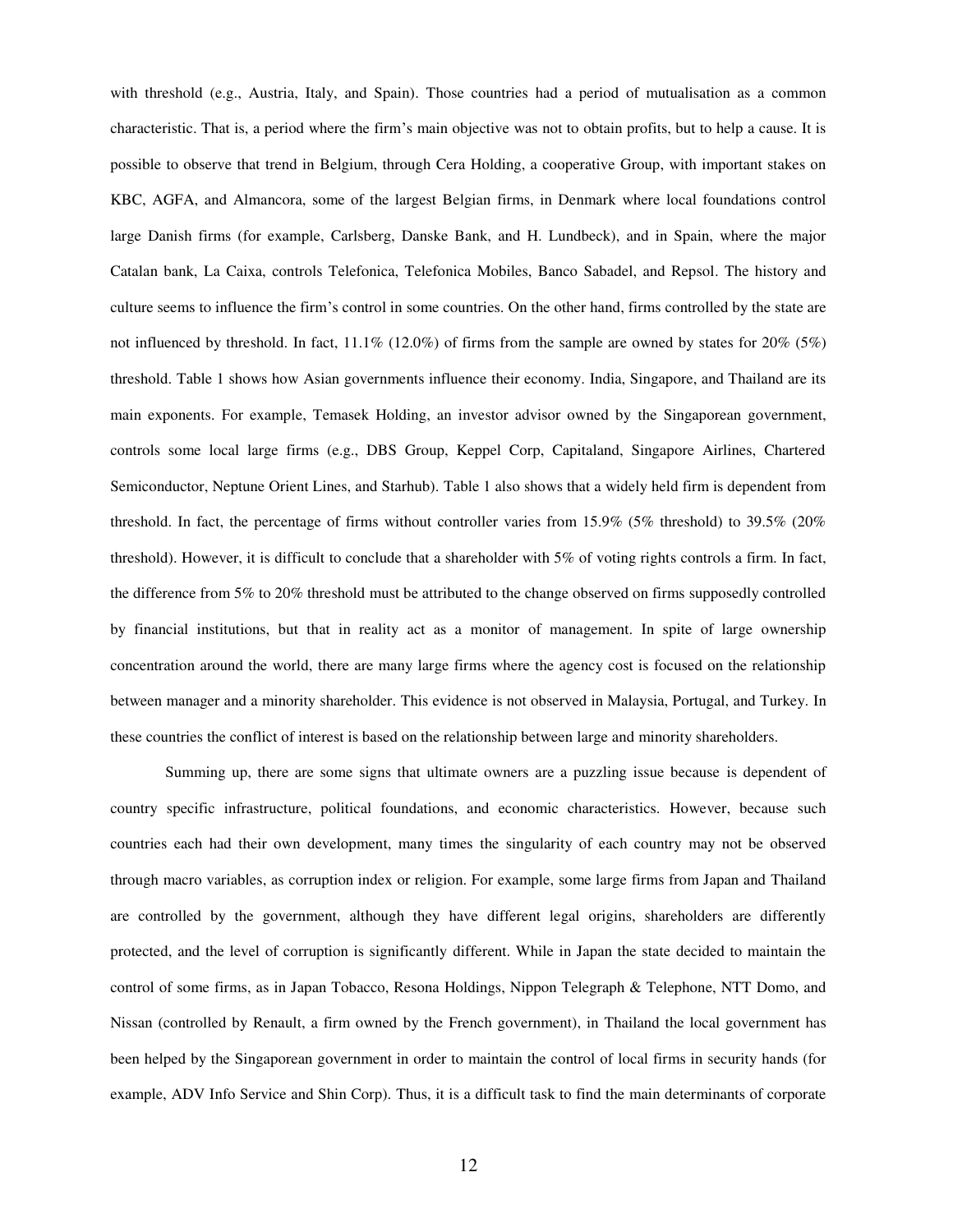with threshold (e.g., Austria, Italy, and Spain). Those countries had a period of mutualisation as a common characteristic. That is, a period where the firm's main objective was not to obtain profits, but to help a cause. It is possible to observe that trend in Belgium, through Cera Holding, a cooperative Group, with important stakes on KBC, AGFA, and Almancora, some of the largest Belgian firms, in Denmark where local foundations control large Danish firms (for example, Carlsberg, Danske Bank, and H. Lundbeck), and in Spain, where the major Catalan bank, La Caixa, controls Telefonica, Telefonica Mobiles, Banco Sabadel, and Repsol. The history and culture seems to influence the firm's control in some countries. On the other hand, firms controlled by the state are not influenced by threshold. In fact, 11.1% (12.0%) of firms from the sample are owned by states for 20% (5%) threshold. Table 1 shows how Asian governments influence their economy. India, Singapore, and Thailand are its main exponents. For example, Temasek Holding, an investor advisor owned by the Singaporean government, controls some local large firms (e.g., DBS Group, Keppel Corp, Capitaland, Singapore Airlines, Chartered Semiconductor, Neptune Orient Lines, and Starhub). Table 1 also shows that a widely held firm is dependent from threshold. In fact, the percentage of firms without controller varies from 15.9% (5% threshold) to 39.5% (20% threshold). However, it is difficult to conclude that a shareholder with 5% of voting rights controls a firm. In fact, the difference from 5% to 20% threshold must be attributed to the change observed on firms supposedly controlled by financial institutions, but that in reality act as a monitor of management. In spite of large ownership concentration around the world, there are many large firms where the agency cost is focused on the relationship between manager and a minority shareholder. This evidence is not observed in Malaysia, Portugal, and Turkey. In these countries the conflict of interest is based on the relationship between large and minority shareholders.

Summing up, there are some signs that ultimate owners are a puzzling issue because is dependent of country specific infrastructure, political foundations, and economic characteristics. However, because such countries each had their own development, many times the singularity of each country may not be observed through macro variables, as corruption index or religion. For example, some large firms from Japan and Thailand are controlled by the government, although they have different legal origins, shareholders are differently protected, and the level of corruption is significantly different. While in Japan the state decided to maintain the control of some firms, as in Japan Tobacco, Resona Holdings, Nippon Telegraph & Telephone, NTT Domo, and Nissan (controlled by Renault, a firm owned by the French government), in Thailand the local government has been helped by the Singaporean government in order to maintain the control of local firms in security hands (for example, ADV Info Service and Shin Corp). Thus, it is a difficult task to find the main determinants of corporate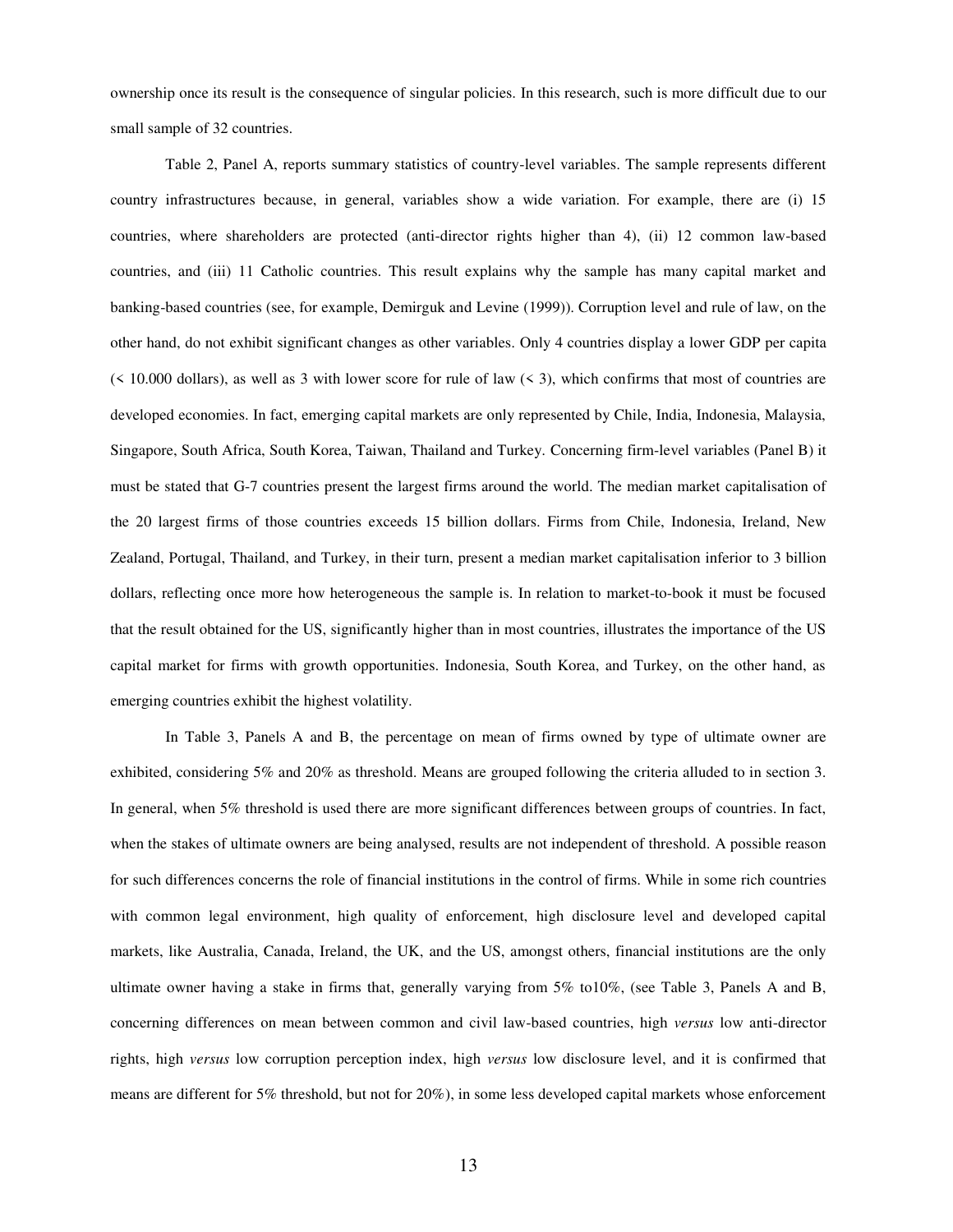ownership once its result is the consequence of singular policies. In this research, such is more difficult due to our small sample of 32 countries.

Table 2, Panel A, reports summary statistics of country-level variables. The sample represents different country infrastructures because, in general, variables show a wide variation. For example, there are (i) 15 countries, where shareholders are protected (anti-director rights higher than 4), (ii) 12 common law-based countries, and (iii) 11 Catholic countries. This result explains why the sample has many capital market and banking-based countries (see, for example, Demirguk and Levine (1999)). Corruption level and rule of law, on the other hand, do not exhibit significant changes as other variables. Only 4 countries display a lower GDP per capita  $($  < 10.000 dollars), as well as 3 with lower score for rule of law  $($  < 3), which confirms that most of countries are developed economies. In fact, emerging capital markets are only represented by Chile, India, Indonesia, Malaysia, Singapore, South Africa, South Korea, Taiwan, Thailand and Turkey. Concerning firm-level variables (Panel B) it must be stated that G-7 countries present the largest firms around the world. The median market capitalisation of the 20 largest firms of those countries exceeds 15 billion dollars. Firms from Chile, Indonesia, Ireland, New Zealand, Portugal, Thailand, and Turkey, in their turn, present a median market capitalisation inferior to 3 billion dollars, reflecting once more how heterogeneous the sample is. In relation to market-to-book it must be focused that the result obtained for the US, significantly higher than in most countries, illustrates the importance of the US capital market for firms with growth opportunities. Indonesia, South Korea, and Turkey, on the other hand, as emerging countries exhibit the highest volatility.

 In Table 3, Panels A and B, the percentage on mean of firms owned by type of ultimate owner are exhibited, considering 5% and 20% as threshold. Means are grouped following the criteria alluded to in section 3. In general, when 5% threshold is used there are more significant differences between groups of countries. In fact, when the stakes of ultimate owners are being analysed, results are not independent of threshold. A possible reason for such differences concerns the role of financial institutions in the control of firms. While in some rich countries with common legal environment, high quality of enforcement, high disclosure level and developed capital markets, like Australia, Canada, Ireland, the UK, and the US, amongst others, financial institutions are the only ultimate owner having a stake in firms that, generally varying from 5% to10%, (see Table 3, Panels A and B, concerning differences on mean between common and civil law-based countries, high *versus* low anti-director rights, high *versus* low corruption perception index, high *versus* low disclosure level, and it is confirmed that means are different for 5% threshold, but not for 20%), in some less developed capital markets whose enforcement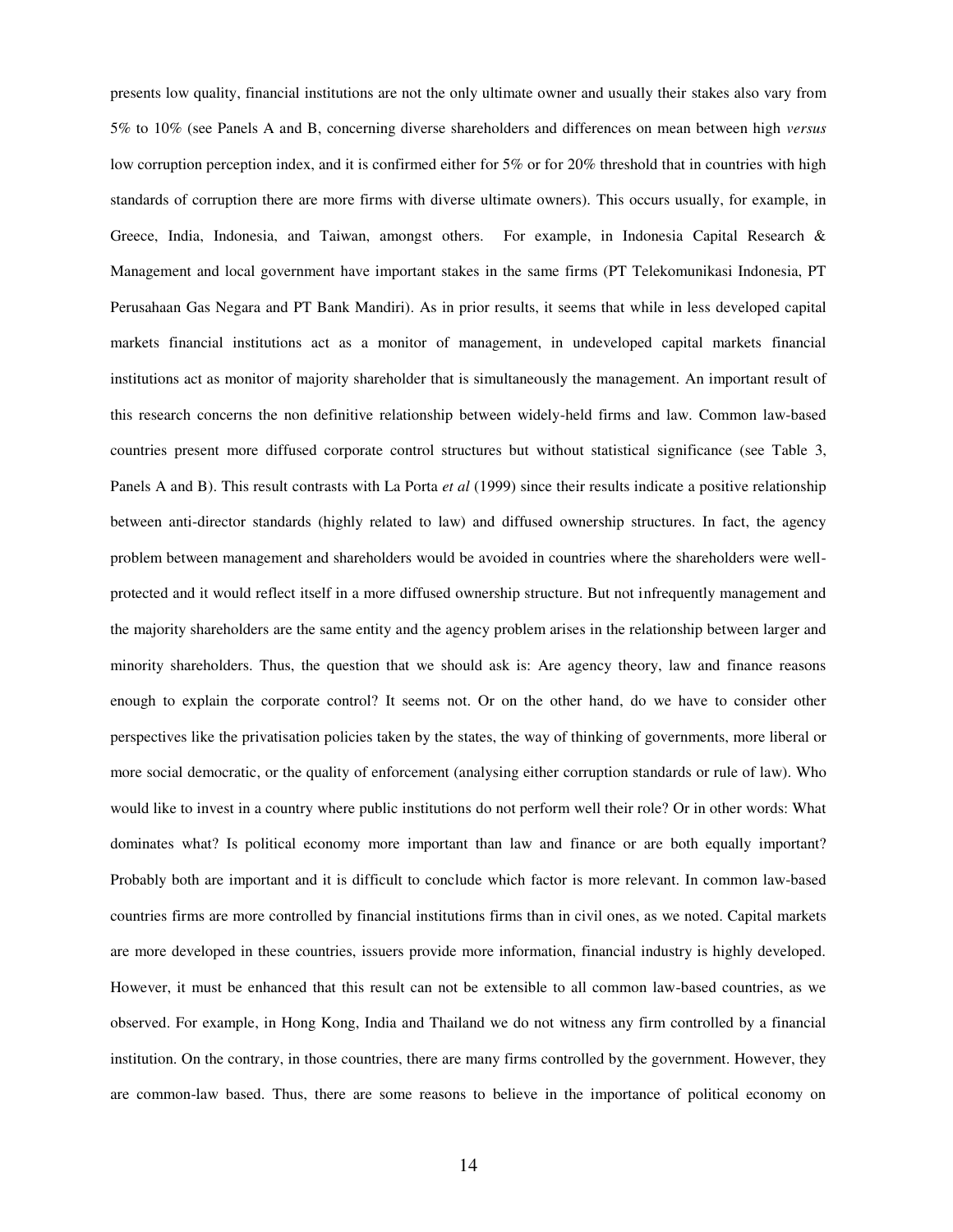presents low quality, financial institutions are not the only ultimate owner and usually their stakes also vary from 5% to 10% (see Panels A and B, concerning diverse shareholders and differences on mean between high *versus* low corruption perception index, and it is confirmed either for 5% or for 20% threshold that in countries with high standards of corruption there are more firms with diverse ultimate owners). This occurs usually, for example, in Greece, India, Indonesia, and Taiwan, amongst others. For example, in Indonesia Capital Research & Management and local government have important stakes in the same firms (PT Telekomunikasi Indonesia, PT Perusahaan Gas Negara and PT Bank Mandiri). As in prior results, it seems that while in less developed capital markets financial institutions act as a monitor of management, in undeveloped capital markets financial institutions act as monitor of majority shareholder that is simultaneously the management. An important result of this research concerns the non definitive relationship between widely-held firms and law. Common law-based countries present more diffused corporate control structures but without statistical significance (see Table 3, Panels A and B). This result contrasts with La Porta *et al* (1999) since their results indicate a positive relationship between anti-director standards (highly related to law) and diffused ownership structures. In fact, the agency problem between management and shareholders would be avoided in countries where the shareholders were wellprotected and it would reflect itself in a more diffused ownership structure. But not infrequently management and the majority shareholders are the same entity and the agency problem arises in the relationship between larger and minority shareholders. Thus, the question that we should ask is: Are agency theory, law and finance reasons enough to explain the corporate control? It seems not. Or on the other hand, do we have to consider other perspectives like the privatisation policies taken by the states, the way of thinking of governments, more liberal or more social democratic, or the quality of enforcement (analysing either corruption standards or rule of law). Who would like to invest in a country where public institutions do not perform well their role? Or in other words: What dominates what? Is political economy more important than law and finance or are both equally important? Probably both are important and it is difficult to conclude which factor is more relevant. In common law-based countries firms are more controlled by financial institutions firms than in civil ones, as we noted. Capital markets are more developed in these countries, issuers provide more information, financial industry is highly developed. However, it must be enhanced that this result can not be extensible to all common law-based countries, as we observed. For example, in Hong Kong, India and Thailand we do not witness any firm controlled by a financial institution. On the contrary, in those countries, there are many firms controlled by the government. However, they are common-law based. Thus, there are some reasons to believe in the importance of political economy on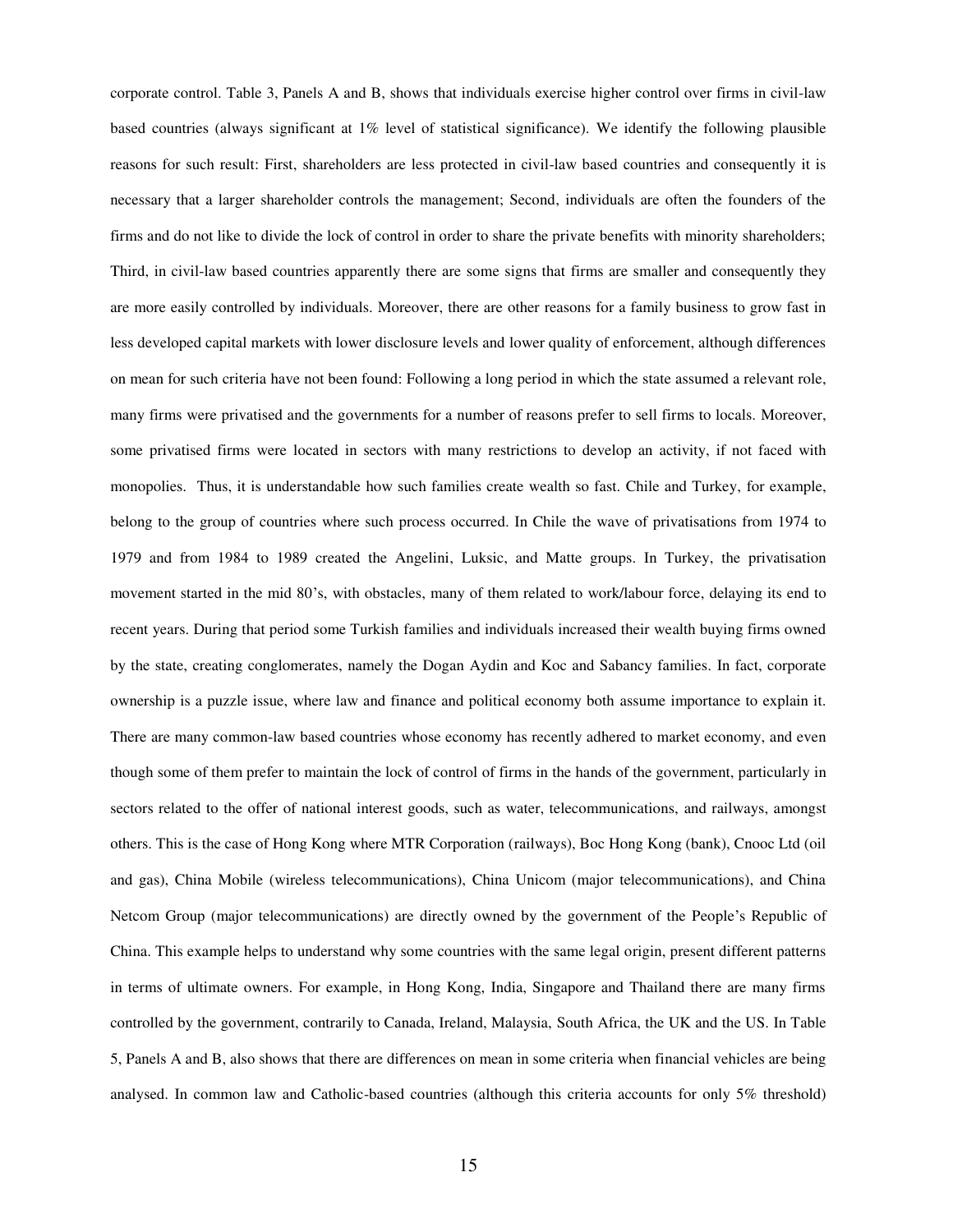corporate control. Table 3, Panels A and B, shows that individuals exercise higher control over firms in civil-law based countries (always significant at 1% level of statistical significance). We identify the following plausible reasons for such result: First, shareholders are less protected in civil-law based countries and consequently it is necessary that a larger shareholder controls the management; Second, individuals are often the founders of the firms and do not like to divide the lock of control in order to share the private benefits with minority shareholders; Third, in civil-law based countries apparently there are some signs that firms are smaller and consequently they are more easily controlled by individuals. Moreover, there are other reasons for a family business to grow fast in less developed capital markets with lower disclosure levels and lower quality of enforcement, although differences on mean for such criteria have not been found: Following a long period in which the state assumed a relevant role, many firms were privatised and the governments for a number of reasons prefer to sell firms to locals. Moreover, some privatised firms were located in sectors with many restrictions to develop an activity, if not faced with monopolies. Thus, it is understandable how such families create wealth so fast. Chile and Turkey, for example, belong to the group of countries where such process occurred. In Chile the wave of privatisations from 1974 to 1979 and from 1984 to 1989 created the Angelini, Luksic, and Matte groups. In Turkey, the privatisation movement started in the mid 80's, with obstacles, many of them related to work/labour force, delaying its end to recent years. During that period some Turkish families and individuals increased their wealth buying firms owned by the state, creating conglomerates, namely the Dogan Aydin and Koc and Sabancy families. In fact, corporate ownership is a puzzle issue, where law and finance and political economy both assume importance to explain it. There are many common-law based countries whose economy has recently adhered to market economy, and even though some of them prefer to maintain the lock of control of firms in the hands of the government, particularly in sectors related to the offer of national interest goods, such as water, telecommunications, and railways, amongst others. This is the case of Hong Kong where MTR Corporation (railways), Boc Hong Kong (bank), Cnooc Ltd (oil and gas), China Mobile (wireless telecommunications), China Unicom (major telecommunications), and China Netcom Group (major telecommunications) are directly owned by the government of the People's Republic of China. This example helps to understand why some countries with the same legal origin, present different patterns in terms of ultimate owners. For example, in Hong Kong, India, Singapore and Thailand there are many firms controlled by the government, contrarily to Canada, Ireland, Malaysia, South Africa, the UK and the US. In Table 5, Panels A and B, also shows that there are differences on mean in some criteria when financial vehicles are being analysed. In common law and Catholic-based countries (although this criteria accounts for only 5% threshold)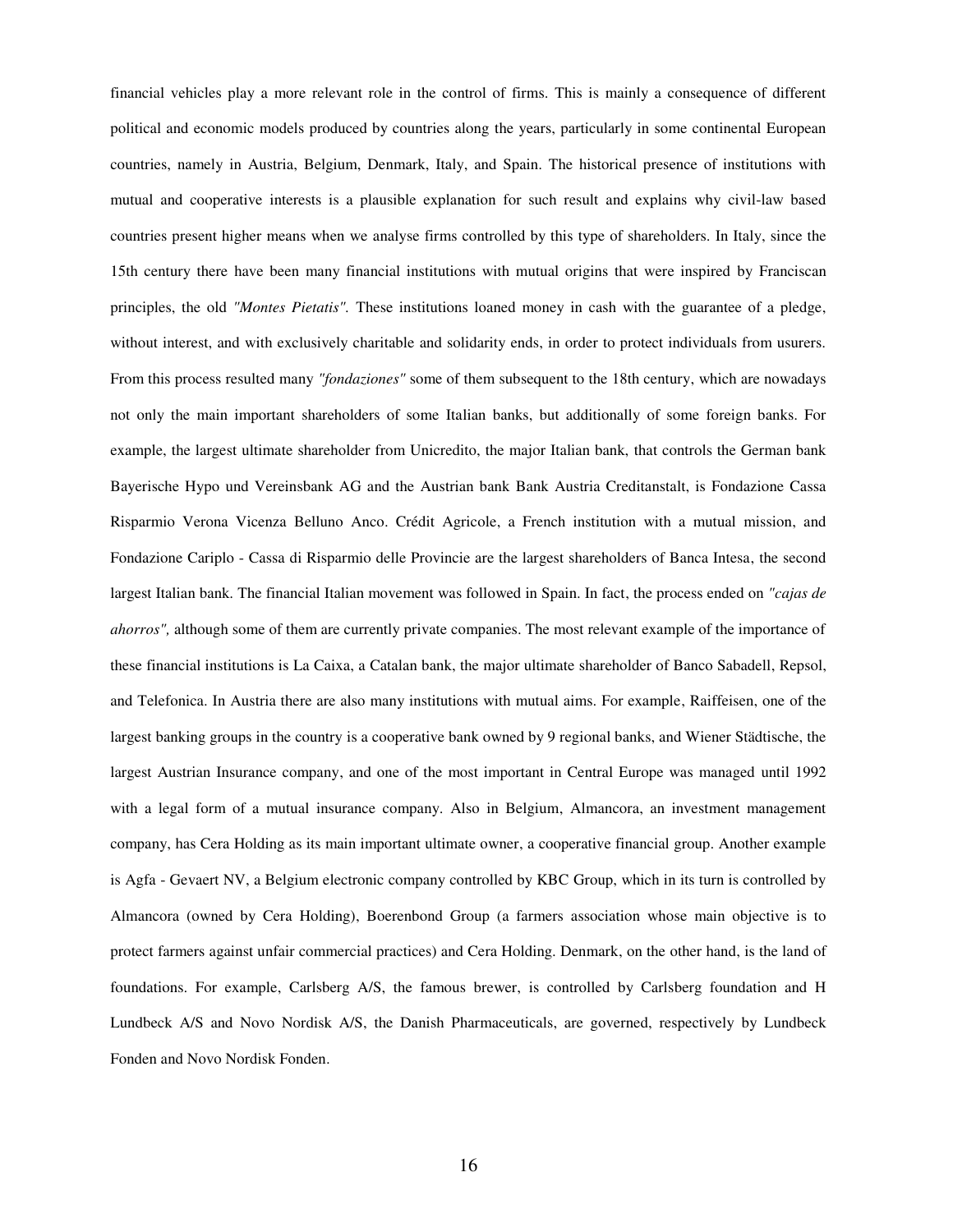financial vehicles play a more relevant role in the control of firms. This is mainly a consequence of different political and economic models produced by countries along the years, particularly in some continental European countries, namely in Austria, Belgium, Denmark, Italy, and Spain. The historical presence of institutions with mutual and cooperative interests is a plausible explanation for such result and explains why civil-law based countries present higher means when we analyse firms controlled by this type of shareholders. In Italy, since the 15th century there have been many financial institutions with mutual origins that were inspired by Franciscan principles, the old *"Montes Pietatis".* These institutions loaned money in cash with the guarantee of a pledge, without interest, and with exclusively charitable and solidarity ends, in order to protect individuals from usurers. From this process resulted many *"fondaziones"* some of them subsequent to the 18th century, which are nowadays not only the main important shareholders of some Italian banks, but additionally of some foreign banks. For example, the largest ultimate shareholder from Unicredito, the major Italian bank, that controls the German bank Bayerische Hypo und Vereinsbank AG and the Austrian bank Bank Austria Creditanstalt, is Fondazione Cassa Risparmio Verona Vicenza Belluno Anco. Crédit Agricole, a French institution with a mutual mission, and Fondazione Cariplo - Cassa di Risparmio delle Provincie are the largest shareholders of Banca Intesa, the second largest Italian bank. The financial Italian movement was followed in Spain. In fact, the process ended on *"cajas de ahorros",* although some of them are currently private companies. The most relevant example of the importance of these financial institutions is La Caixa, a Catalan bank, the major ultimate shareholder of Banco Sabadell, Repsol, and Telefonica. In Austria there are also many institutions with mutual aims. For example, Raiffeisen, one of the largest banking groups in the country is a cooperative bank owned by 9 regional banks, and Wiener Städtische, the largest Austrian Insurance company, and one of the most important in Central Europe was managed until 1992 with a legal form of a mutual insurance company. Also in Belgium, Almancora, an investment management company, has Cera Holding as its main important ultimate owner, a cooperative financial group. Another example is Agfa - Gevaert NV, a Belgium electronic company controlled by KBC Group, which in its turn is controlled by Almancora (owned by Cera Holding), Boerenbond Group (a farmers association whose main objective is to protect farmers against unfair commercial practices) and Cera Holding. Denmark, on the other hand, is the land of foundations. For example, Carlsberg A/S, the famous brewer, is controlled by Carlsberg foundation and H Lundbeck A/S and Novo Nordisk A/S, the Danish Pharmaceuticals, are governed, respectively by Lundbeck Fonden and Novo Nordisk Fonden.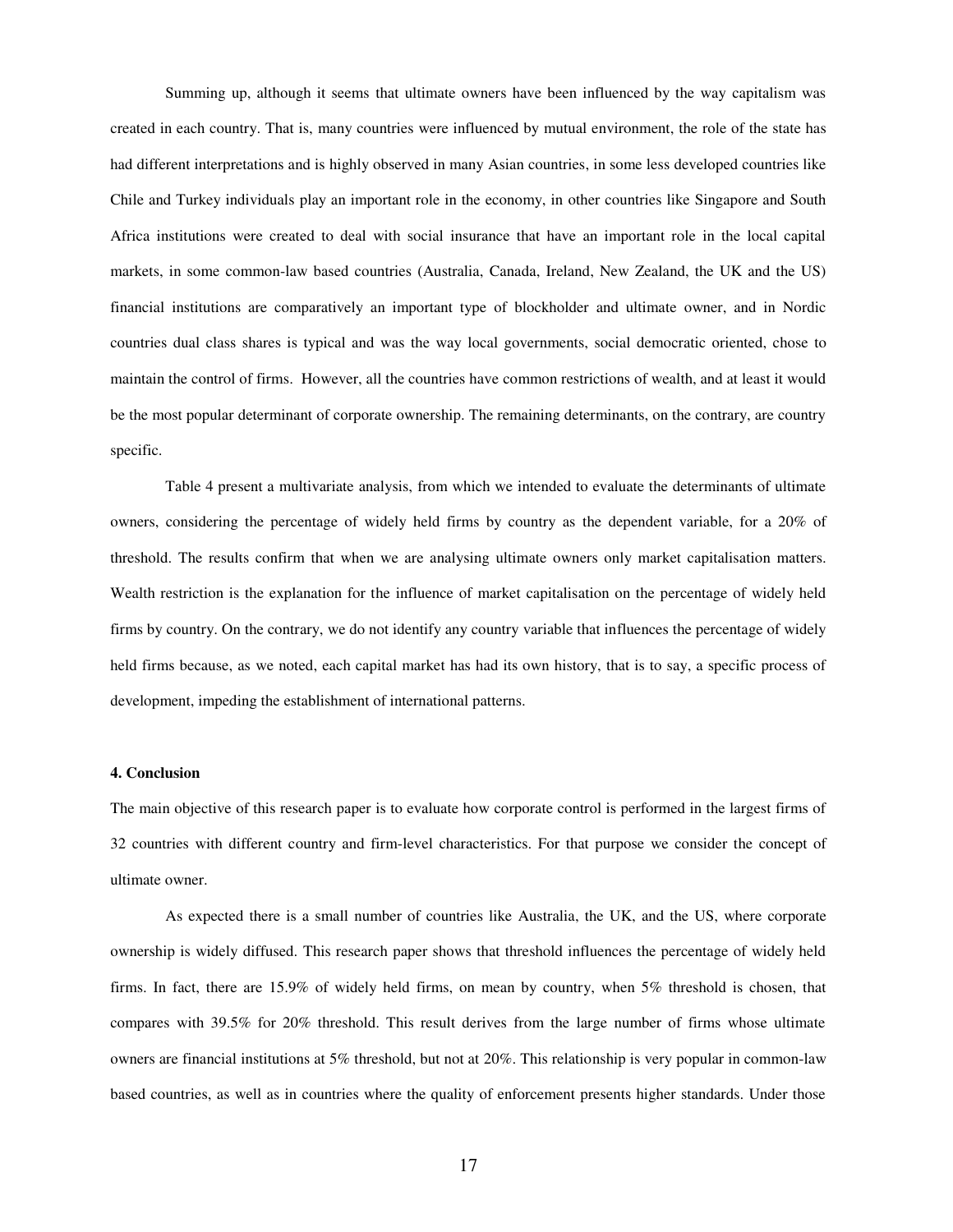Summing up, although it seems that ultimate owners have been influenced by the way capitalism was created in each country. That is, many countries were influenced by mutual environment, the role of the state has had different interpretations and is highly observed in many Asian countries, in some less developed countries like Chile and Turkey individuals play an important role in the economy, in other countries like Singapore and South Africa institutions were created to deal with social insurance that have an important role in the local capital markets, in some common-law based countries (Australia, Canada, Ireland, New Zealand, the UK and the US) financial institutions are comparatively an important type of blockholder and ultimate owner, and in Nordic countries dual class shares is typical and was the way local governments, social democratic oriented, chose to maintain the control of firms. However, all the countries have common restrictions of wealth, and at least it would be the most popular determinant of corporate ownership. The remaining determinants, on the contrary, are country specific.

Table 4 present a multivariate analysis, from which we intended to evaluate the determinants of ultimate owners, considering the percentage of widely held firms by country as the dependent variable, for a 20% of threshold. The results confirm that when we are analysing ultimate owners only market capitalisation matters. Wealth restriction is the explanation for the influence of market capitalisation on the percentage of widely held firms by country. On the contrary, we do not identify any country variable that influences the percentage of widely held firms because, as we noted, each capital market has had its own history, that is to say, a specific process of development, impeding the establishment of international patterns.

### **4. Conclusion**

The main objective of this research paper is to evaluate how corporate control is performed in the largest firms of 32 countries with different country and firm-level characteristics. For that purpose we consider the concept of ultimate owner.

As expected there is a small number of countries like Australia, the UK, and the US, where corporate ownership is widely diffused. This research paper shows that threshold influences the percentage of widely held firms. In fact, there are 15.9% of widely held firms, on mean by country, when 5% threshold is chosen, that compares with 39.5% for 20% threshold. This result derives from the large number of firms whose ultimate owners are financial institutions at 5% threshold, but not at 20%. This relationship is very popular in common-law based countries, as well as in countries where the quality of enforcement presents higher standards. Under those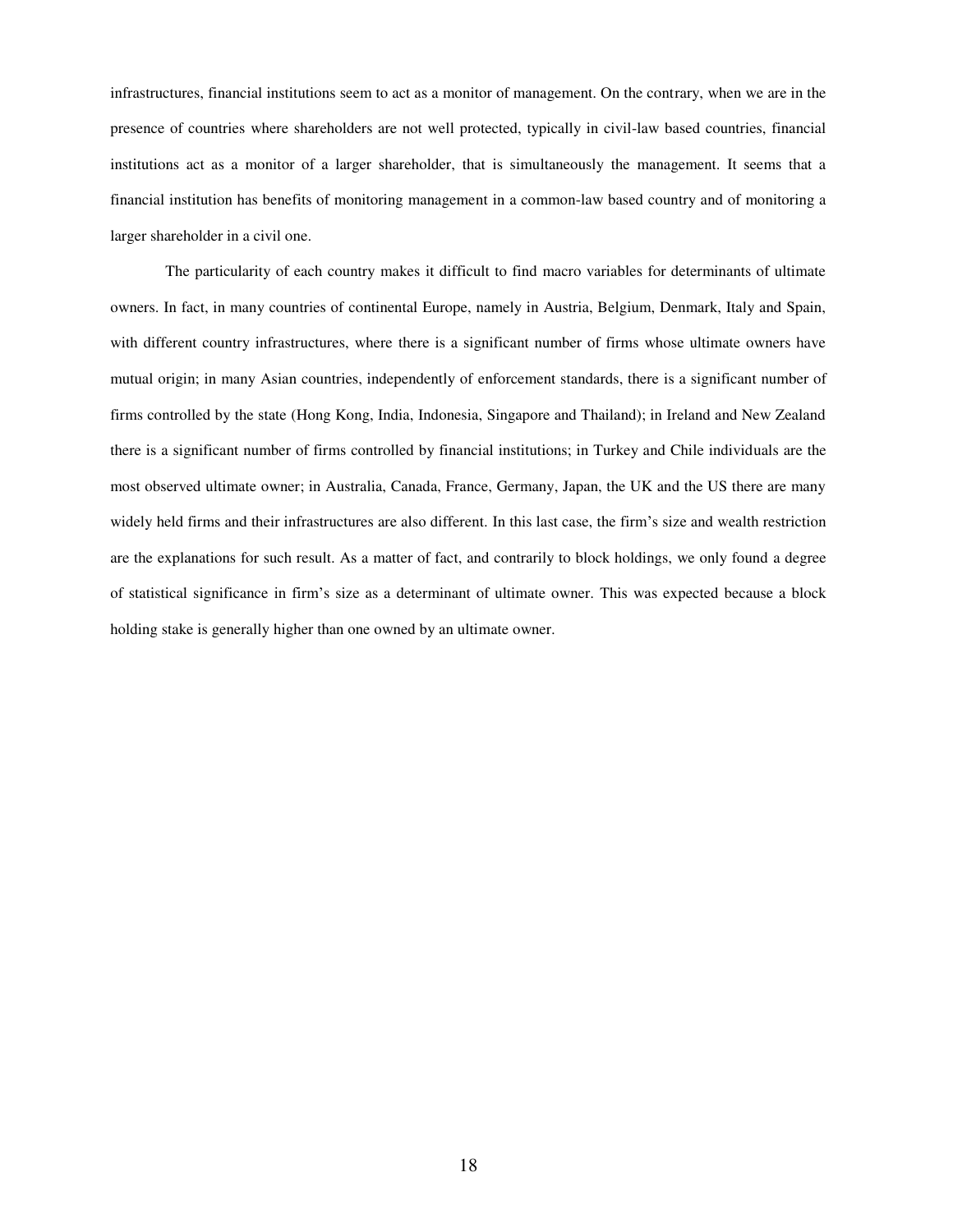infrastructures, financial institutions seem to act as a monitor of management. On the contrary, when we are in the presence of countries where shareholders are not well protected, typically in civil-law based countries, financial institutions act as a monitor of a larger shareholder, that is simultaneously the management. It seems that a financial institution has benefits of monitoring management in a common-law based country and of monitoring a larger shareholder in a civil one.

The particularity of each country makes it difficult to find macro variables for determinants of ultimate owners. In fact, in many countries of continental Europe, namely in Austria, Belgium, Denmark, Italy and Spain, with different country infrastructures, where there is a significant number of firms whose ultimate owners have mutual origin; in many Asian countries, independently of enforcement standards, there is a significant number of firms controlled by the state (Hong Kong, India, Indonesia, Singapore and Thailand); in Ireland and New Zealand there is a significant number of firms controlled by financial institutions; in Turkey and Chile individuals are the most observed ultimate owner; in Australia, Canada, France, Germany, Japan, the UK and the US there are many widely held firms and their infrastructures are also different. In this last case, the firm's size and wealth restriction are the explanations for such result. As a matter of fact, and contrarily to block holdings, we only found a degree of statistical significance in firm's size as a determinant of ultimate owner. This was expected because a block holding stake is generally higher than one owned by an ultimate owner.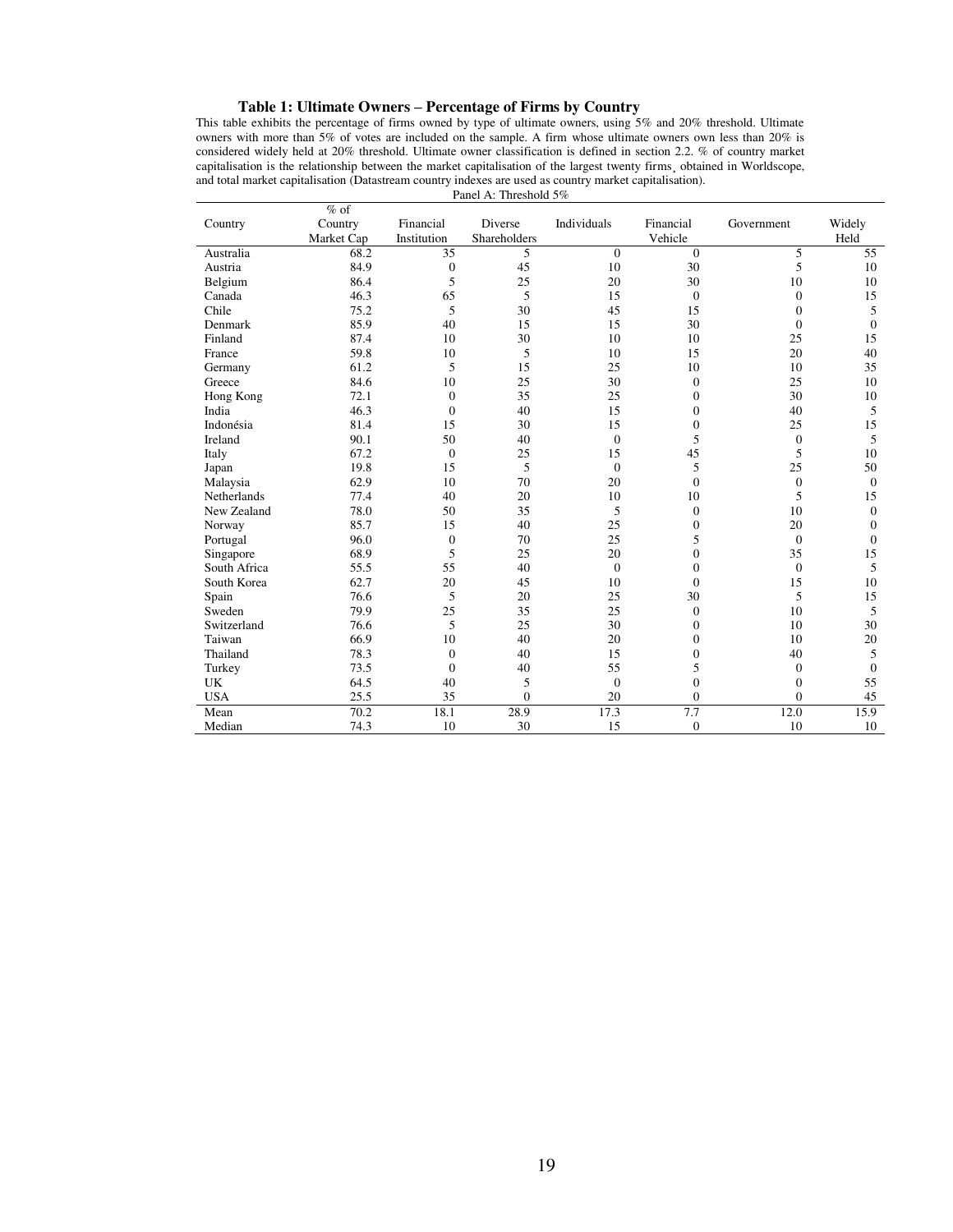# **Table 1: Ultimate Owners – Percentage of Firms by Country**

This table exhibits the percentage of firms owned by type of ultimate owners, using 5% and 20% threshold. Ultimate owners with more than 5% of votes are included on the sample. A firm whose ultimate owners own less than 20% is considered widely held at 20% threshold. Ultimate owner classification is defined in section 2.2. % of country market capitalisation is the relationship between the market capitalisation of the largest twenty firms¸ obtained in Worldscope, and total market capitalisation (Datastream country indexes are used as country market capitalisation).

Panel A: Threshold 5%

|              | $%$ of     |                  |              |              |                  |                |              |
|--------------|------------|------------------|--------------|--------------|------------------|----------------|--------------|
| Country      | Country    | Financial        | Diverse      | Individuals  | Financial        | Government     | Widely       |
|              | Market Cap | Institution      | Shareholders |              | Vehicle          |                | Held         |
| Australia    | 68.2       | 35               | 5            | $\Omega$     | $\mathbf{0}$     | 5              | 55           |
| Austria      | 84.9       | $\boldsymbol{0}$ | 45           | 10           | 30               | 5              | 10           |
| Belgium      | 86.4       | 5                | 25           | 20           | 30               | 10             | 10           |
| Canada       | 46.3       | 65               | 5            | 15           | $\mathbf{0}$     | $\mathbf{0}$   | 15           |
| Chile        | 75.2       | 5                | 30           | 45           | 15               | $\mathbf{0}$   | 5            |
| Denmark      | 85.9       | 40               | 15           | 15           | 30               | $\mathbf{0}$   | $\mathbf{0}$ |
| Finland      | 87.4       | 10               | 30           | 10           | 10               | 25             | 15           |
| France       | 59.8       | 10               | 5            | 10           | 15               | 20             | 40           |
| Germany      | 61.2       | 5                | 15           | 25           | 10               | 10             | 35           |
| Greece       | 84.6       | 10               | 25           | 30           | $\boldsymbol{0}$ | 25             | 10           |
| Hong Kong    | 72.1       | $\mathbf{0}$     | 35           | 25           | $\mathbf{0}$     | 30             | 10           |
| India        | 46.3       | $\theta$         | 40           | 15           | $\mathbf{0}$     | 40             | 5            |
| Indonésia    | 81.4       | 15               | 30           | 15           | $\mathbf{0}$     | 25             | 15           |
| Ireland      | 90.1       | 50               | 40           | $\mathbf{0}$ | 5                | $\theta$       | 5            |
| Italy        | 67.2       | $\mathbf{0}$     | 25           | 15           | 45               | 5              | 10           |
| Japan        | 19.8       | 15               | 5            | $\Omega$     | 5                | 25             | 50           |
| Malaysia     | 62.9       | 10               | 70           | 20           | $\mathbf{0}$     | $\theta$       | $\theta$     |
| Netherlands  | 77.4       | 40               | 20           | 10           | 10               | 5              | 15           |
| New Zealand  | 78.0       | 50               | 35           | 5            | $\mathbf{0}$     | 10             | $\mathbf{0}$ |
| Norway       | 85.7       | 15               | 40           | 25           | $\mathbf{0}$     | 20             | $\mathbf{0}$ |
| Portugal     | 96.0       | $\overline{0}$   | 70           | 25           | 5                | $\Omega$       | $\mathbf{0}$ |
| Singapore    | 68.9       | 5                | 25           | 20           | $\overline{0}$   | 35             | 15           |
| South Africa | 55.5       | 55               | 40           | $\mathbf{0}$ | $\mathbf{0}$     | $\mathbf{0}$   | 5            |
| South Korea  | 62.7       | 20               | 45           | 10           | $\mathbf{0}$     | 15             | 10           |
| Spain        | 76.6       | 5                | 20           | 25           | 30               | 5              | 15           |
| Sweden       | 79.9       | 25               | 35           | 25           | $\mathbf{0}$     | 10             | 5            |
| Switzerland  | 76.6       | 5                | 25           | 30           | $\mathbf{0}$     | 10             | 30           |
| Taiwan       | 66.9       | 10               | 40           | 20           | $\overline{0}$   | 10             | 20           |
| Thailand     | 78.3       | $\mathbf{0}$     | 40           | 15           | $\overline{0}$   | 40             | 5            |
| Turkey       | 73.5       | $\overline{0}$   | 40           | 55           | 5                | $\mathbf{0}$   | $\mathbf{0}$ |
| UK           | 64.5       | 40               | 5            | $\mathbf{0}$ | $\overline{0}$   | $\overline{0}$ | 55           |
| <b>USA</b>   | 25.5       | 35               | $\mathbf{0}$ | 20           | $\mathbf{0}$     | $\mathbf{0}$   | 45           |
| Mean         | 70.2       | 18.1             | 28.9         | 17.3         | 7.7              | 12.0           | 15.9         |
| Median       | 74.3       | 10               | 30           | 15           | $\mathbf{0}$     | 10             | 10           |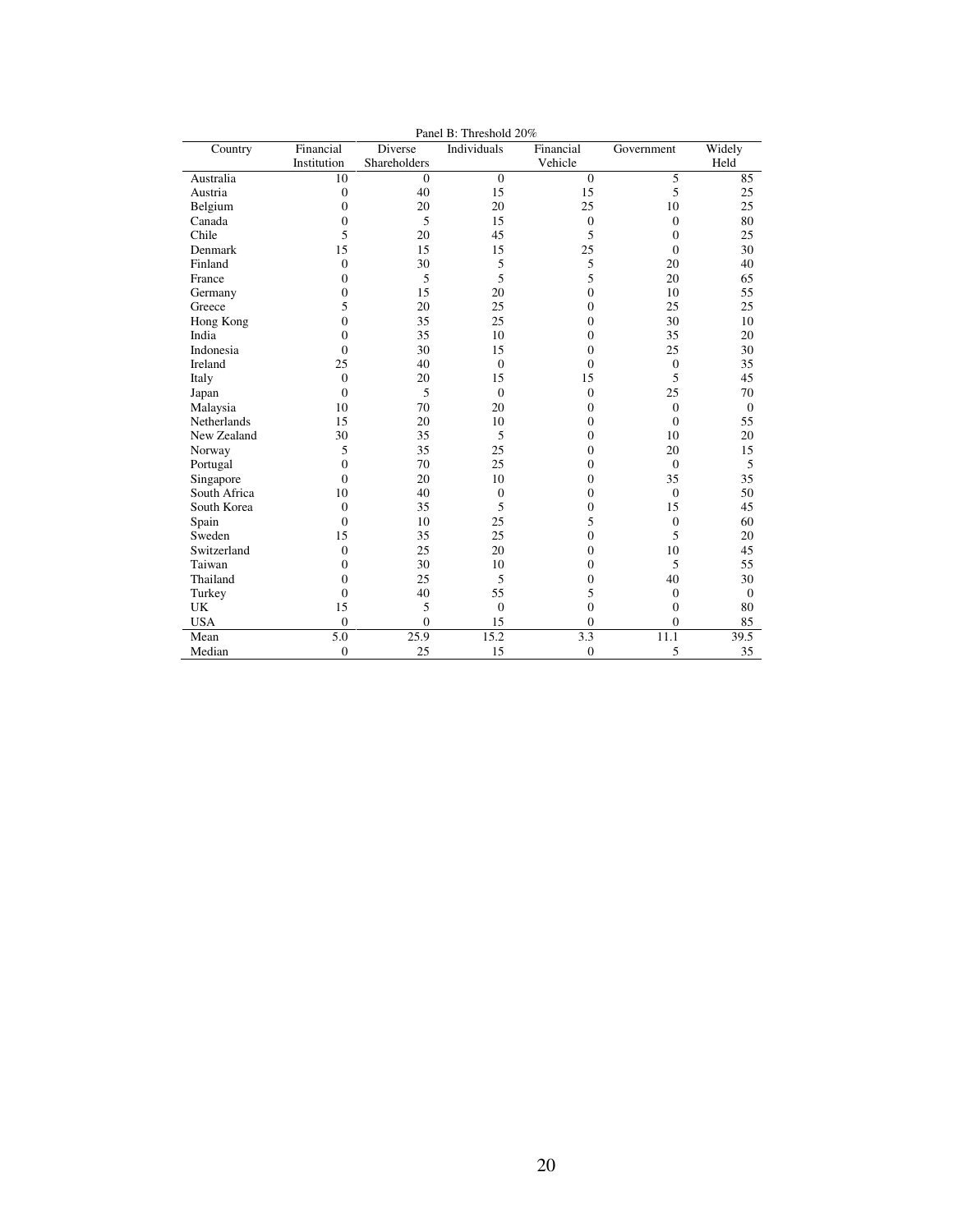| Country            | Financial        | Diverse      | Individuals      | Financial      | Government     | Widely           |
|--------------------|------------------|--------------|------------------|----------------|----------------|------------------|
|                    | Institution      | Shareholders |                  | Vehicle        |                | Held             |
| Australia          | 10               | $\Omega$     | $\theta$         | $\mathbf{0}$   | 5              | 85               |
| Austria            | $\boldsymbol{0}$ | 40           | 15               | 15             | 5              | 25               |
| Belgium            | $\overline{0}$   | 20           | 20               | 25             | 10             | 25               |
| Canada             | 0                | 5            | 15               | $\mathbf{0}$   | $\mathbf{0}$   | 80               |
| Chile              | 5                | 20           | 45               | 5              | $\overline{0}$ | 25               |
| Denmark            | 15               | 15           | 15               | 25             | $\mathbf{0}$   | 30               |
| Finland            | $\overline{0}$   | 30           | 5                | 5              | 20             | 40               |
| France             | $\overline{0}$   | 5            | 5                | 5              | 20             | 65               |
| Germany            | $\overline{0}$   | 15           | 20               | $\overline{0}$ | 10             | 55               |
| Greece             | 5                | 20           | 25               | $\overline{0}$ | 25             | 25               |
| Hong Kong          | $\theta$         | 35           | 25               | $\Omega$       | 30             | 10               |
| India              | $\theta$         | 35           | 10               | $\theta$       | 35             | 20               |
| Indonesia          | 0                | 30           | 15               | $\Omega$       | 25             | 30               |
| Ireland            | 25               | 40           | $\overline{0}$   | $\mathbf{0}$   | $\theta$       | 35               |
| Italy              | $\overline{0}$   | 20           | 15               | 15             | 5              | 45               |
| Japan              | $\overline{0}$   | 5            | $\overline{0}$   | $\mathbf{0}$   | 25             | 70               |
| Malaysia           | 10               | 70           | 20               | $\theta$       | $\theta$       | $\boldsymbol{0}$ |
| <b>Netherlands</b> | 15               | 20           | 10               | $\Omega$       | $\theta$       | 55               |
| New Zealand        | 30               | 35           | 5                | $\theta$       | 10             | 20               |
| Norway             | 5                | 35           | 25               | $\Omega$       | 20             | 15               |
| Portugal           | $\overline{0}$   | 70           | 25               | $\overline{0}$ | $\theta$       | 5                |
| Singapore          | $\theta$         | 20           | 10               | $\Omega$       | 35             | 35               |
| South Africa       | 10               | 40           | $\boldsymbol{0}$ | $\overline{0}$ | $\mathbf{0}$   | 50               |
| South Korea        | $\Omega$         | 35           | 5                | $\Omega$       | 15             | 45               |
| Spain              | $\Omega$         | 10           | 25               | 5              | $\mathbf{0}$   | 60               |
| Sweden             | 15               | 35           | 25               | $\Omega$       | 5              | 20               |
| Switzerland        | $\overline{0}$   | 25           | 20               | $\Omega$       | 10             | 45               |
| Taiwan             | 0                | 30           | 10               | $\Omega$       | 5              | 55               |
| Thailand           | $\theta$         | 25           | 5                | $\Omega$       | 40             | 30               |
| Turkey             | $\theta$         | 40           | 55               | 5              | $\theta$       | $\theta$         |
| UK                 | 15               | 5            | $\overline{0}$   | $\overline{0}$ | $\mathbf{0}$   | 80               |
| <b>USA</b>         | $\overline{0}$   | $\Omega$     | 15               | $\theta$       | $\mathbf{0}$   | 85               |
| Mean               | 5.0              | 25.9         | 15.2             | 3.3            | 11.1           | 39.5             |
| Median             | $\overline{0}$   | 25           | 15               | $\overline{0}$ | 5              | 35               |

Panel B: Threshold 20%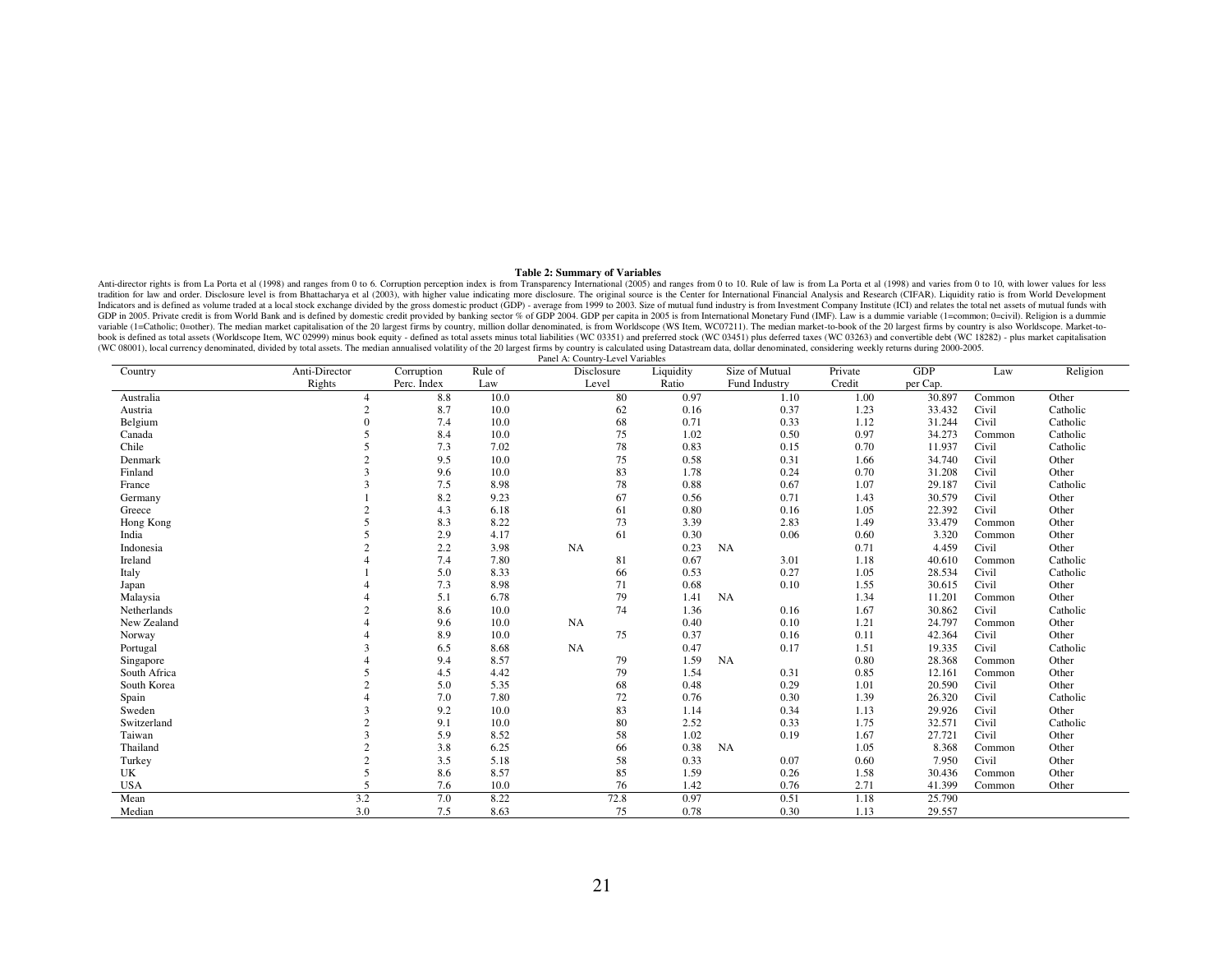#### **Table 2: Summary of Variables**

Anti-director rights is from La Porta et al (1998) and ranges from 0 to 6. Corruption perception index is from Transparency International (2005) and ranges from 0 to 10. Rule of law is from La Porta et al (1998) and varies Indicators and is defined as volume traded at a local stock exchange divided by the gross domestic product (GDP) - average from 1999 to 2003. Size of mutual fund industry is from Investment Company Institute (ICI) and rela GDP in 2005. Private credit is from World Bank and is defined by domestic credit provided by banking sector % of GDP 2004. GDP per capita in 2005 is from International Monetary Fund (IMF). Law is a dummie variable (1=commo variable (1=Catholic; 0=other). The median market capitalisation of the 20 largest firms by country, million dollar denominated, is from Worldscope (WS Item, WC07211). The median market-to-book of the 20 largest firms by c book is defined as total assets (Worldscope Item, WC 02999) minus book equity - defined as total assets minus total liabilities (WC 03351) and preferred stock (WC 03451) plus deferred taxes (WC 03263) and convertible debt (WC 08001), local currency denominated, divided by total assets. The median annualised volatility of the 20 largest firms by country is calculated using Datastream data, dollar denominated, considering weekly returns durin

| Country      | Anti-Director            | Corruption  | Rule of | PAIRT A. COUIII y-Level variables<br>Disclosure | Liquidity | Size of Mutual | Private | GDP      | Law    | Religion |
|--------------|--------------------------|-------------|---------|-------------------------------------------------|-----------|----------------|---------|----------|--------|----------|
|              | Rights                   | Perc. Index | Law     | Level                                           | Ratio     | Fund Industry  | Credit  | per Cap. |        |          |
| Australia    | 4                        | 8.8         | 10.0    | 80                                              | 0.97      | 1.10           | 1.00    | 30.897   | Common | Other    |
| Austria      | $\overline{2}$           | 8.7         | 10.0    | 62                                              | 0.16      | 0.37           | 1.23    | 33.432   | Civil  | Catholic |
| Belgium      | $\Omega$                 | 7.4         | 10.0    | 68                                              | 0.71      | 0.33           | 1.12    | 31.244   | Civil  | Catholic |
| Canada       | $\overline{\mathcal{L}}$ | 8.4         | 10.0    | 75                                              | 1.02      | 0.50           | 0.97    | 34.273   | Common | Catholic |
| Chile        |                          | 7.3         | 7.02    | 78                                              | 0.83      | 0.15           | 0.70    | 11.937   | Civil  | Catholic |
| Denmark      | $\overline{c}$           | 9.5         | 10.0    | 75                                              | 0.58      | 0.31           | 1.66    | 34.740   | Civil  | Other    |
| Finland      | $\mathbf{3}$             | 9.6         | 10.0    | 83                                              | 1.78      | 0.24           | 0.70    | 31.208   | Civil  | Other    |
| France       |                          | 7.5         | 8.98    | 78                                              | 0.88      | 0.67           | 1.07    | 29.187   | Civil  | Catholic |
| Germany      |                          | 8.2         | 9.23    | 67                                              | 0.56      | 0.71           | 1.43    | 30.579   | Civil  | Other    |
| Greece       |                          | 4.3         | 6.18    | 61                                              | 0.80      | 0.16           | 1.05    | 22.392   | Civil  | Other    |
| Hong Kong    |                          | 8.3         | 8.22    | 73                                              | 3.39      | 2.83           | 1.49    | 33.479   | Common | Other    |
| India        |                          | 2.9         | 4.17    | 61                                              | 0.30      | 0.06           | 0.60    | 3.320    | Common | Other    |
| Indonesia    | $\Delta$                 | 2.2         | 3.98    | <b>NA</b>                                       | 0.23      | NA             | 0.71    | 4.459    | Civil  | Other    |
| Ireland      |                          | 7.4         | 7.80    | 81                                              | 0.67      | 3.01           | 1.18    | 40.610   | Common | Catholic |
| Italy        |                          | 5.0         | 8.33    | 66                                              | 0.53      | 0.27           | 1.05    | 28.534   | Civil  | Catholic |
| Japan        |                          | 7.3         | 8.98    | 71                                              | 0.68      | 0.10           | 1.55    | 30.615   | Civil  | Other    |
| Malaysia     |                          | 5.1         | 6.78    | 79                                              | 1.41      | <b>NA</b>      | 1.34    | 11.201   | Common | Other    |
| Netherlands  | $\overline{2}$           | 8.6         | 10.0    | 74                                              | 1.36      | 0.16           | 1.67    | 30.862   | Civil  | Catholic |
| New Zealand  |                          | 9.6         | 10.0    | <b>NA</b>                                       | 0.40      | 0.10           | 1.21    | 24.797   | Common | Other    |
| Norway       |                          | 8.9         | 10.0    | 75                                              | 0.37      | 0.16           | 0.11    | 42.364   | Civil  | Other    |
| Portugal     |                          | 6.5         | 8.68    | <b>NA</b>                                       | 0.47      | 0.17           | 1.51    | 19.335   | Civil  | Catholic |
| Singapore    |                          | 9.4         | 8.57    | 79                                              | 1.59      | <b>NA</b>      | 0.80    | 28.368   | Common | Other    |
| South Africa | 5                        | 4.5         | 4.42    | 79                                              | 1.54      | 0.31           | 0.85    | 12.161   | Common | Other    |
| South Korea  |                          | 5.0         | 5.35    | 68                                              | 0.48      | 0.29           | 1.01    | 20.590   | Civil  | Other    |
| Spain        |                          | 7.0         | 7.80    | 72                                              | 0.76      | 0.30           | 1.39    | 26.320   | Civil  | Catholic |
| Sweden       | 3                        | 9.2         | 10.0    | 83                                              | 1.14      | 0.34           | 1.13    | 29.926   | Civil  | Other    |
| Switzerland  | $\overline{2}$           | 9.1         | 10.0    | 80                                              | 2.52      | 0.33           | 1.75    | 32.571   | Civil  | Catholic |
| Taiwan       | 3                        | 5.9         | 8.52    | 58                                              | 1.02      | 0.19           | 1.67    | 27.721   | Civil  | Other    |
| Thailand     | $\overline{2}$           | 3.8         | 6.25    | 66                                              | 0.38      | NA             | 1.05    | 8.368    | Common | Other    |
| Turkey       | $\overline{2}$           | 3.5         | 5.18    | 58                                              | 0.33      | 0.07           | 0.60    | 7.950    | Civil  | Other    |
| UK           | 5                        | 8.6         | 8.57    | 85                                              | 1.59      | 0.26           | 1.58    | 30.436   | Common | Other    |
| <b>USA</b>   | $\overline{2}$           | 7.6         | 10.0    | 76                                              | 1.42      | 0.76           | 2.71    | 41.399   | Common | Other    |
| Mean         | 3.2                      | 7.0         | 8.22    | 72.8                                            | 0.97      | 0.51           | 1.18    | 25.790   |        |          |
| Median       | 3.0                      | 7.5         | 8.63    | 75                                              | 0.78      | 0.30           | 1.13    | 29.557   |        |          |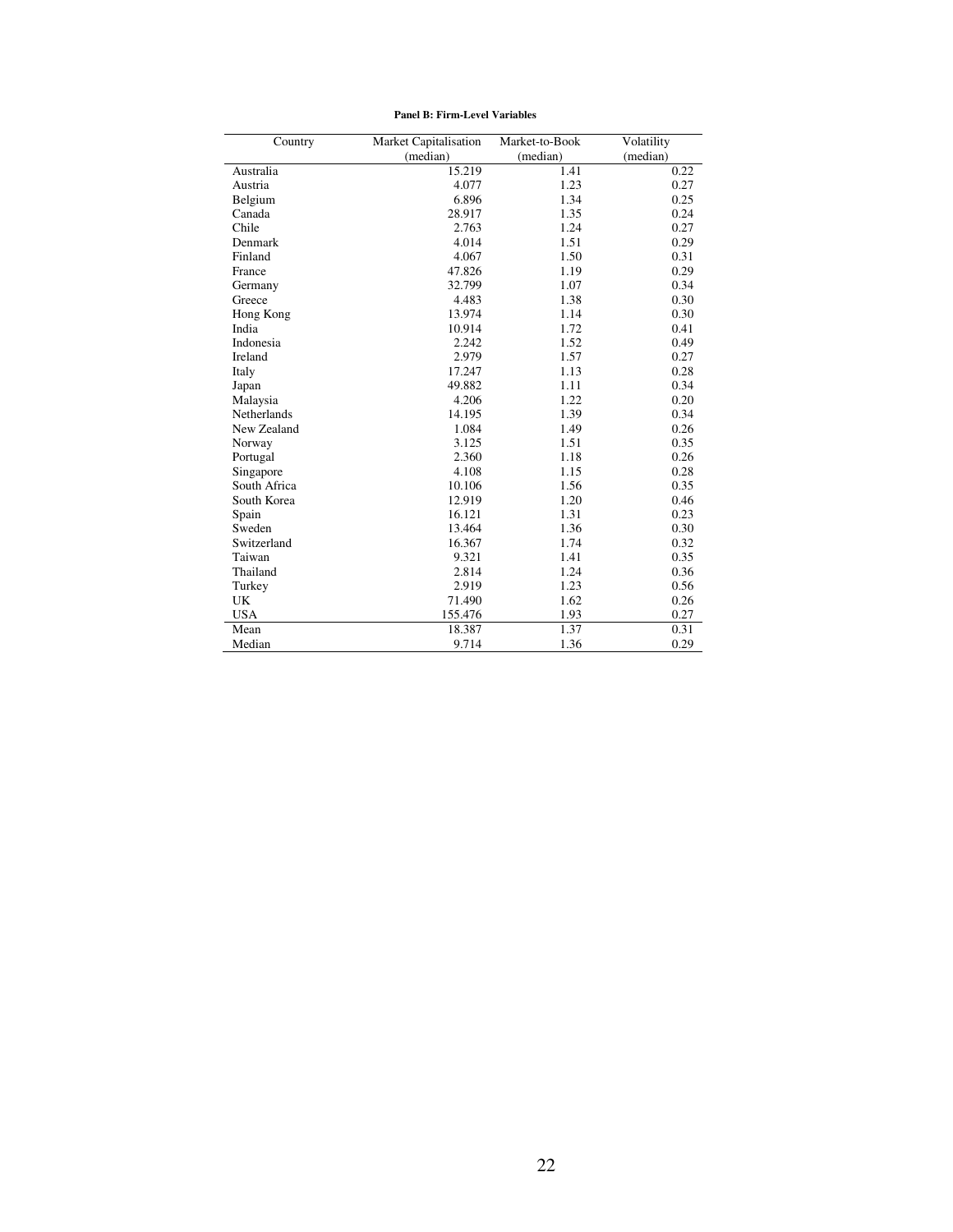| Country            | Market Capitalisation | Market-to-Book | Volatility |
|--------------------|-----------------------|----------------|------------|
|                    | (median)              | (median)       | (median)   |
| Australia          | 15.219                | 1.41           | 0.22       |
| Austria            | 4.077                 | 1.23           | 0.27       |
| Belgium            | 6.896                 | 1.34           | 0.25       |
| Canada             | 28.917                | 1.35           | 0.24       |
| Chile              | 2.763                 | 1.24           | 0.27       |
| Denmark            | 4.014                 | 1.51           | 0.29       |
| Finland            | 4.067                 | 1.50           | 0.31       |
| France             | 47.826                | 1.19           | 0.29       |
| Germany            | 32.799                | 1.07           | 0.34       |
| Greece             | 4.483                 | 1.38           | 0.30       |
| Hong Kong          | 13.974                | 1.14           | 0.30       |
| India              | 10.914                | 1.72           | 0.41       |
| Indonesia          | 2.242                 | 1.52           | 0.49       |
| <b>Ireland</b>     | 2.979                 | 1.57           | 0.27       |
| Italy              | 17.247                | 1.13           | 0.28       |
| Japan              | 49.882                | 1.11           | 0.34       |
| Malaysia           | 4.206                 | 1.22           | 0.20       |
| <b>Netherlands</b> | 14.195                | 1.39           | 0.34       |
| New Zealand        | 1.084                 | 1.49           | 0.26       |
| Norway             | 3.125                 | 1.51           | 0.35       |
| Portugal           | 2.360                 | 1.18           | 0.26       |
| Singapore          | 4.108                 | 1.15           | 0.28       |
| South Africa       | 10.106                | 1.56           | 0.35       |
| South Korea        | 12.919                | 1.20           | 0.46       |
| Spain              | 16.121                | 1.31           | 0.23       |
| Sweden             | 13.464                | 1.36           | 0.30       |
| Switzerland        | 16.367                | 1.74           | 0.32       |
| Taiwan             | 9.321                 | 1.41           | 0.35       |
| Thailand           | 2.814                 | 1.24           | 0.36       |
| Turkey             | 2.919                 | 1.23           | 0.56       |
| UK                 | 71.490                | 1.62           | 0.26       |
| <b>USA</b>         | 155.476               | 1.93           | 0.27       |
| Mean               | 18.387                | 1.37           | 0.31       |
| Median             | 9.714                 | 1.36           | 0.29       |

 **Panel B: Firm-Level Variables**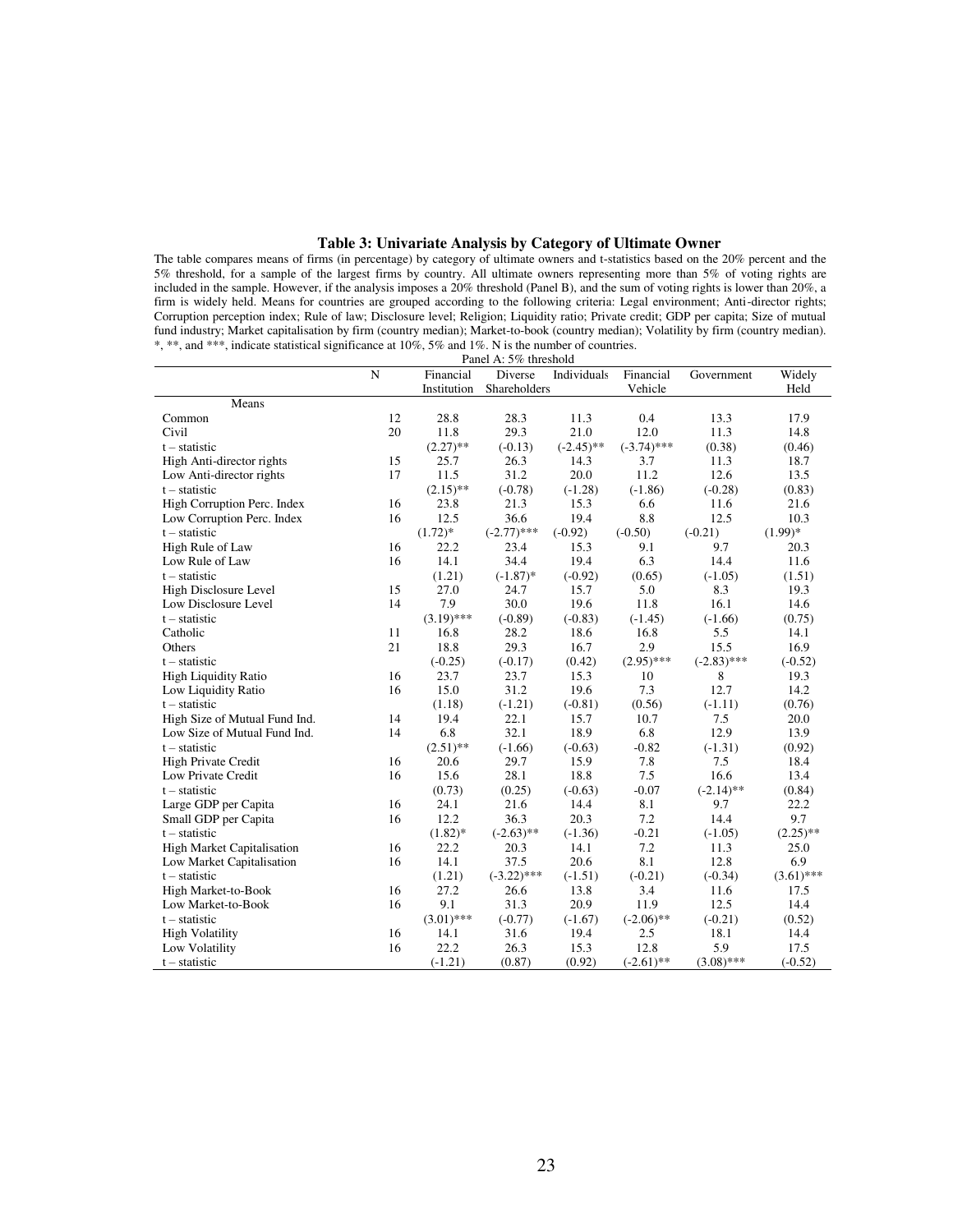# **Table 3: Univariate Analysis by Category of Ultimate Owner**

The table compares means of firms (in percentage) by category of ultimate owners and t-statistics based on the 20% percent and the 5% threshold, for a sample of the largest firms by country. All ultimate owners representing more than 5% of voting rights are included in the sample. However, if the analysis imposes a 20% threshold (Panel B), and the sum of voting rights is lower than 20%, a firm is widely held. Means for countries are grouped according to the following criteria: Legal environment; Anti-director rights; Corruption perception index; Rule of law; Disclosure level; Religion; Liquidity ratio; Private credit; GDP per capita; Size of mutual fund industry; Market capitalisation by firm (country median); Market-to-book (country median); Volatility by firm (country median). \*, \*\*, and \*\*\*, indicate statistical significance at 10%, 5% and 1%. N is the number of countries.

|                                   | Panel A: 5% threshold |              |               |              |               |               |              |  |  |
|-----------------------------------|-----------------------|--------------|---------------|--------------|---------------|---------------|--------------|--|--|
|                                   | N                     | Financial    | Diverse       | Individuals  | Financial     | Government    | Widely       |  |  |
|                                   |                       | Institution  | Shareholders  |              | Vehicle       |               | Held         |  |  |
| Means                             |                       |              |               |              |               |               |              |  |  |
| Common                            | 12                    | 28.8         | 28.3          | 11.3         | 0.4           | 13.3          | 17.9         |  |  |
| Civil                             | 20                    | 11.8         | 29.3          | 21.0         | 12.0          | 11.3          | 14.8         |  |  |
| $t - statistic$                   |                       | $(2.27)$ **  | $(-0.13)$     | $(-2.45)$ ** | $(-3.74)$ *** | (0.38)        | (0.46)       |  |  |
| High Anti-director rights         | 15                    | 25.7         | 26.3          | 14.3         | 3.7           | 11.3          | 18.7         |  |  |
| Low Anti-director rights          | 17                    | 11.5         | 31.2          | 20.0         | 11.2          | 12.6          | 13.5         |  |  |
| $t - statistic$                   |                       | $(2.15)$ **  | $(-0.78)$     | $(-1.28)$    | $(-1.86)$     | $(-0.28)$     | (0.83)       |  |  |
| High Corruption Perc. Index       | 16                    | 23.8         | 21.3          | 15.3         | 6.6           | 11.6          | 21.6         |  |  |
| Low Corruption Perc. Index        | 16                    | 12.5         | 36.6          | 19.4         | 8.8           | 12.5          | 10.3         |  |  |
| $t - statistic$                   |                       | $(1.72)*$    | $(-2.77)$ *** | $(-0.92)$    | $(-0.50)$     | $(-0.21)$     | $(1.99)*$    |  |  |
| High Rule of Law                  | 16                    | 22.2         | 23.4          | 15.3         | 9.1           | 9.7           | 20.3         |  |  |
| Low Rule of Law                   | 16                    | 14.1         | 34.4          | 19.4         | 6.3           | 14.4          | 11.6         |  |  |
| $t - statistic$                   |                       | (1.21)       | $(-1.87)$ *   | $(-0.92)$    | (0.65)        | $(-1.05)$     | (1.51)       |  |  |
| High Disclosure Level             | 15                    | 27.0         | 24.7          | 15.7         | 5.0           | 8.3           | 19.3         |  |  |
| Low Disclosure Level              | 14                    | 7.9          | 30.0          | 19.6         | 11.8          | 16.1          | 14.6         |  |  |
| $t - statistic$                   |                       | $(3.19)$ *** | $(-0.89)$     | $(-0.83)$    | $(-1.45)$     | $(-1.66)$     | (0.75)       |  |  |
| Catholic                          | 11                    | 16.8         | 28.2          | 18.6         | 16.8          | 5.5           | 14.1         |  |  |
| Others                            | 21                    | 18.8         | 29.3          | 16.7         | 2.9           | 15.5          | 16.9         |  |  |
| $t - statistic$                   |                       | $(-0.25)$    | $(-0.17)$     | (0.42)       | $(2.95)$ ***  | $(-2.83)$ *** | $(-0.52)$    |  |  |
| <b>High Liquidity Ratio</b>       | 16                    | 23.7         | 23.7          | 15.3         | 10            | 8             | 19.3         |  |  |
| Low Liquidity Ratio               | 16                    | 15.0         | 31.2          | 19.6         | 7.3           | 12.7          | 14.2         |  |  |
| $t - statistic$                   |                       | (1.18)       | $(-1.21)$     | $(-0.81)$    | (0.56)        | $(-1.11)$     | (0.76)       |  |  |
| High Size of Mutual Fund Ind.     | 14                    | 19.4         | 22.1          | 15.7         | 10.7          | 7.5           | 20.0         |  |  |
| Low Size of Mutual Fund Ind.      | 14                    | 6.8          | 32.1          | 18.9         | 6.8           | 12.9          | 13.9         |  |  |
| $t - statistic$                   |                       | $(2.51)$ **  | $(-1.66)$     | $(-0.63)$    | $-0.82$       | $(-1.31)$     | (0.92)       |  |  |
| High Private Credit               | 16                    | 20.6         | 29.7          | 15.9         | 7.8           | 7.5           | 18.4         |  |  |
| Low Private Credit                | 16                    | 15.6         | 28.1          | 18.8         | 7.5           | 16.6          | 13.4         |  |  |
| $t - statistic$                   |                       | (0.73)       | (0.25)        | $(-0.63)$    | $-0.07$       | $(-2.14)$ **  | (0.84)       |  |  |
| Large GDP per Capita              | 16                    | 24.1         | 21.6          | 14.4         | 8.1           | 9.7           | 22.2         |  |  |
| Small GDP per Capita              | 16                    | 12.2         | 36.3          | 20.3         | 7.2           | 14.4          | 9.7          |  |  |
| $t - statistic$                   |                       | $(1.82)$ *   | $(-2.63)$ **  | $(-1.36)$    | $-0.21$       | $(-1.05)$     | $(2.25)$ **  |  |  |
| <b>High Market Capitalisation</b> | 16                    | 22.2         | 20.3          | 14.1         | 7.2           | 11.3          | 25.0         |  |  |
| Low Market Capitalisation         | 16                    | 14.1         | 37.5          | 20.6         | 8.1           | 12.8          | 6.9          |  |  |
| $t -$ statistic                   |                       | (1.21)       | $(-3.22)$ *** | $(-1.51)$    | $(-0.21)$     | $(-0.34)$     | $(3.61)$ *** |  |  |
| High Market-to-Book               | 16                    | 27.2         | 26.6          | 13.8         | 3.4           | 11.6          | 17.5         |  |  |
| Low Market-to-Book                | 16                    | 9.1          | 31.3          | 20.9         | 11.9          | 12.5          | 14.4         |  |  |
| $t - statistic$                   |                       | $(3.01)$ *** | $(-0.77)$     | $(-1.67)$    | $(-2.06)$ **  | $(-0.21)$     | (0.52)       |  |  |
| <b>High Volatility</b>            | 16                    | 14.1         | 31.6          | 19.4         | 2.5           | 18.1          | 14.4         |  |  |
| Low Volatility                    | 16                    | 22.2         | 26.3          | 15.3         | 12.8          | 5.9           | 17.5         |  |  |
| $t - statistic$                   |                       | $(-1.21)$    | (0.87)        | (0.92)       | $(-2.61)$ **  | $(3.08)$ ***  | $(-0.52)$    |  |  |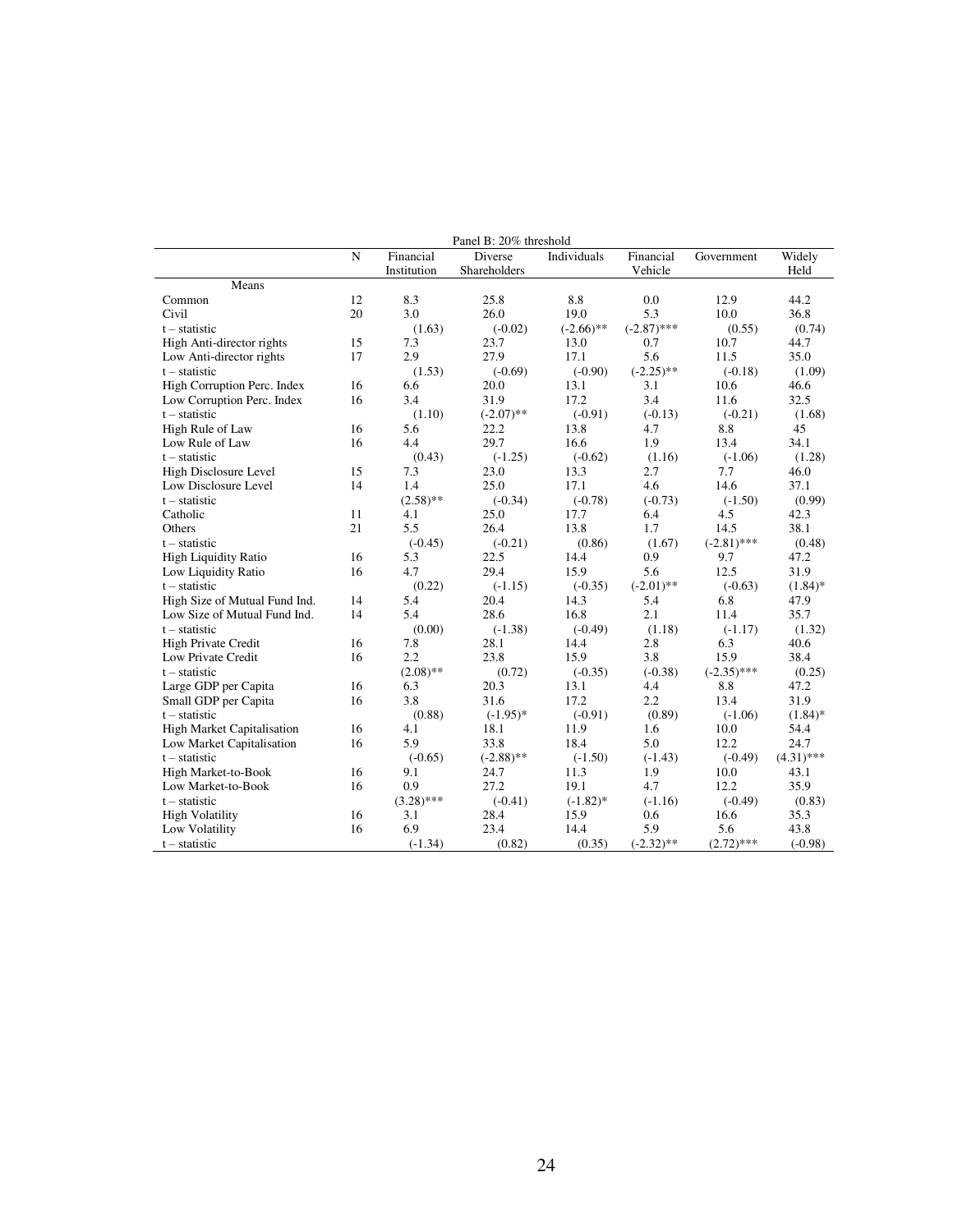|                                   | Panel B: 20% threshold |              |              |              |               |               |              |
|-----------------------------------|------------------------|--------------|--------------|--------------|---------------|---------------|--------------|
|                                   | N                      | Financial    | Diverse      | Individuals  | Financial     | Government    | Widely       |
|                                   |                        | Institution  | Shareholders |              | Vehicle       |               | Held         |
| Means                             |                        |              |              |              |               |               |              |
| Common                            | 12                     | 8.3          | 25.8         | 8.8          | 0.0           | 12.9          | 44.2         |
| Civil                             | 20                     | 3.0          | 26.0         | 19.0         | 5.3           | 10.0          | 36.8         |
| $t - statistic$                   |                        | (1.63)       | $(-0.02)$    | $(-2.66)$ ** | $(-2.87)$ *** | (0.55)        | (0.74)       |
| High Anti-director rights         | 15                     | 7.3          | 23.7         | 13.0         | 0.7           | 10.7          | 44.7         |
| Low Anti-director rights          | 17                     | 2.9          | 27.9         | 17.1         | 5.6           | 11.5          | 35.0         |
| $t - statistic$                   |                        | (1.53)       | $(-0.69)$    | $(-0.90)$    | $(-2.25)$ **  | $(-0.18)$     | (1.09)       |
| High Corruption Perc. Index       | 16                     | 6.6          | 20.0         | 13.1         | 3.1           | 10.6          | 46.6         |
| Low Corruption Perc. Index        | 16                     | 3.4          | 31.9         | 17.2         | 3.4           | 11.6          | 32.5         |
| $t - statistic$                   |                        | (1.10)       | $(-2.07)$ ** | $(-0.91)$    | $(-0.13)$     | $(-0.21)$     | (1.68)       |
| High Rule of Law                  | 16                     | 5.6          | 22.2         | 13.8         | 4.7           | 8.8           | 45           |
| Low Rule of Law                   | 16                     | 4.4          | 29.7         | 16.6         | 1.9           | 13.4          | 34.1         |
| $t - statistic$                   |                        | (0.43)       | $(-1.25)$    | $(-0.62)$    | (1.16)        | $(-1.06)$     | (1.28)       |
| High Disclosure Level             | 15                     | 7.3          | 23.0         | 13.3         | 2.7           | 7.7           | 46.0         |
| Low Disclosure Level              | 14                     | 1.4          | 25.0         | 17.1         | 4.6           | 14.6          | 37.1         |
| $t - statistic$                   |                        | $(2.58)$ **  | $(-0.34)$    | $(-0.78)$    | $(-0.73)$     | $(-1.50)$     | (0.99)       |
| Catholic                          | 11                     | 4.1          | 25.0         | 17.7         | 6.4           | 4.5           | 42.3         |
| Others                            | 21                     | 5.5          | 26.4         | 13.8         | 1.7           | 14.5          | 38.1         |
| $t - statistic$                   |                        | $(-0.45)$    | $(-0.21)$    | (0.86)       | (1.67)        | $(-2.81)$ *** | (0.48)       |
| <b>High Liquidity Ratio</b>       | 16                     | 5.3          | 22.5         | 14.4         | 0.9           | 9.7           | 47.2         |
| Low Liquidity Ratio               | 16                     | 4.7          | 29.4         | 15.9         | 5.6           | 12.5          | 31.9         |
| $t - statistic$                   |                        | (0.22)       | $(-1.15)$    | $(-0.35)$    | $(-2.01)$ **  | $(-0.63)$     | $(1.84)$ *   |
| High Size of Mutual Fund Ind.     | 14                     | 5.4          | 20.4         | 14.3         | 5.4           | 6.8           | 47.9         |
| Low Size of Mutual Fund Ind.      | 14                     | 5.4          | 28.6         | 16.8         | 2.1           | 11.4          | 35.7         |
| $t - statistic$                   |                        | (0.00)       | $(-1.38)$    | $(-0.49)$    | (1.18)        | $(-1.17)$     | (1.32)       |
| <b>High Private Credit</b>        | 16                     | 7.8          | 28.1         | 14.4         | 2.8           | 6.3           | 40.6         |
| Low Private Credit                | 16                     | 2.2          | 23.8         | 15.9         | 3.8           | 15.9          | 38.4         |
| $t - statistic$                   |                        | $(2.08)$ **  | (0.72)       | $(-0.35)$    | $(-0.38)$     | $(-2.35)$ *** | (0.25)       |
| Large GDP per Capita              | 16                     | 6.3          | 20.3         | 13.1         | 4.4           | 8.8           | 47.2         |
| Small GDP per Capita              | 16                     | 3.8          | 31.6         | 17.2         | 2.2           | 13.4          | 31.9         |
| $t - statistic$                   |                        | (0.88)       | $(-1.95)$ *  | $(-0.91)$    | (0.89)        | $(-1.06)$     | $(1.84)$ *   |
| <b>High Market Capitalisation</b> | 16                     | 4.1          | 18.1         | 11.9         | 1.6           | 10.0          | 54.4         |
| Low Market Capitalisation         | 16                     | 5.9          | 33.8         | 18.4         | 5.0           | 12.2          | 24.7         |
| $t - statistic$                   |                        | $(-0.65)$    | $(-2.88)$ ** | $(-1.50)$    | $(-1.43)$     | $(-0.49)$     | $(4.31)$ *** |
| High Market-to-Book               | 16                     | 9.1          | 24.7         | 11.3         | 1.9           | 10.0          | 43.1         |
| Low Market-to-Book                | 16                     | 0.9          | 27.2         | 19.1         | 4.7           | 12.2          | 35.9         |
| $t - statistic$                   |                        | $(3.28)$ *** | $(-0.41)$    | $(-1.82)$ *  | $(-1.16)$     | $(-0.49)$     | (0.83)       |
| <b>High Volatility</b>            | 16                     | 3.1          | 28.4         | 15.9         | 0.6           | 16.6          | 35.3         |
| Low Volatility                    | 16                     | 6.9          | 23.4         | 14.4         | 5.9           | 5.6           | 43.8         |
| $t - statistic$                   |                        | $(-1.34)$    | (0.82)       | (0.35)       | $(-2.32)$ **  | $(2.72)$ ***  | $(-0.98)$    |
|                                   |                        |              |              |              |               |               |              |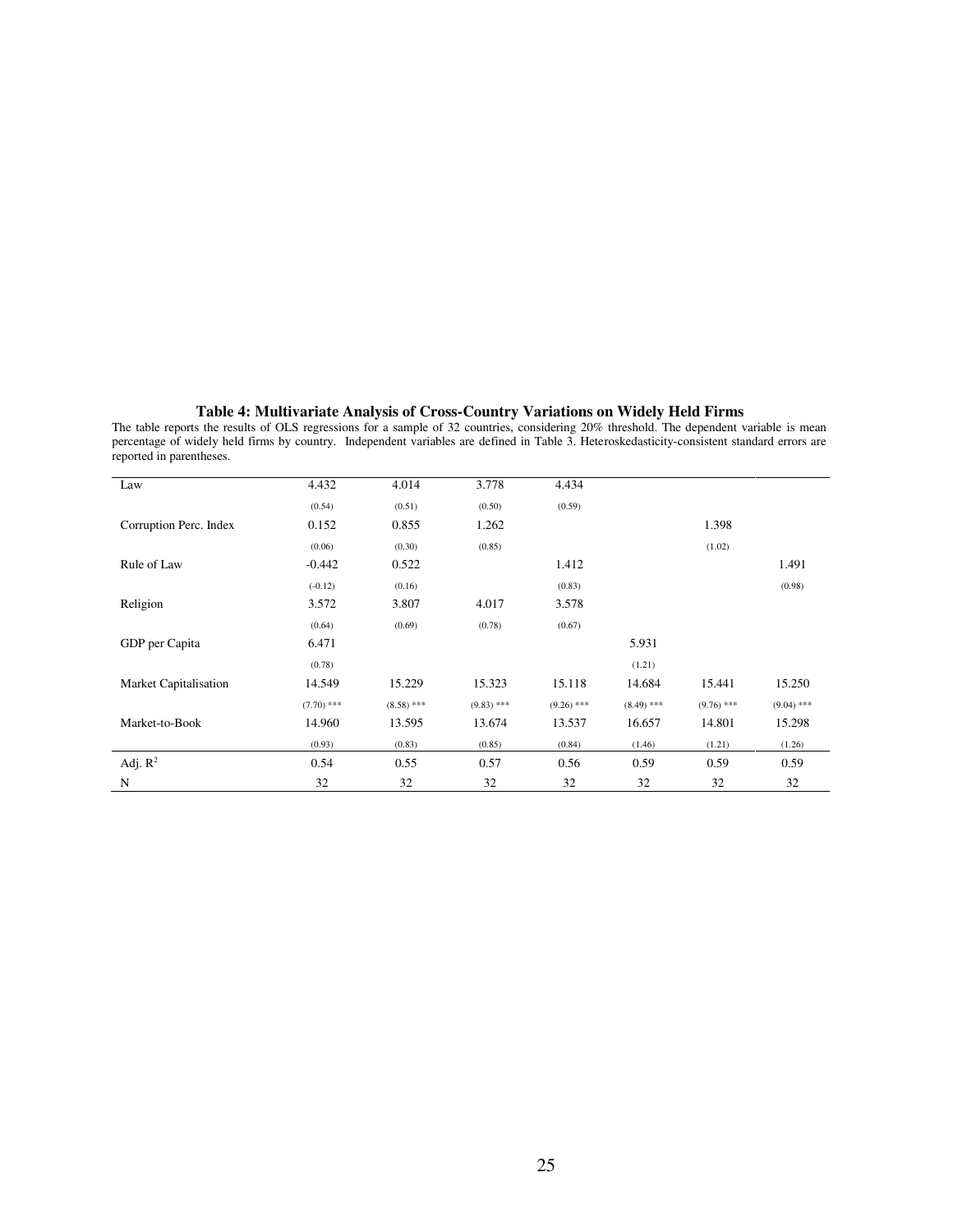#### **Table 4: Multivariate Analysis of Cross-Country Variations on Widely Held Firms**

The table reports the results of OLS regressions for a sample of 32 countries, considering 20% threshold. The dependent variable is mean percentage of widely held firms by country. Independent variables are defined in Table 3. Heteroskedasticity-consistent standard errors are reported in parentheses.

| Law                          | 4.432        | 4.014        | 3.778        | 4.434        |              |              |              |
|------------------------------|--------------|--------------|--------------|--------------|--------------|--------------|--------------|
|                              | (0.54)       | (0.51)       | (0.50)       | (0.59)       |              |              |              |
| Corruption Perc. Index       | 0.152        | 0.855        | 1.262        |              |              | 1.398        |              |
|                              | (0.06)       | (0.30)       | (0.85)       |              |              | (1.02)       |              |
| Rule of Law                  | $-0.442$     | 0.522        |              | 1.412        |              |              | 1.491        |
|                              | $(-0.12)$    | (0.16)       |              | (0.83)       |              |              | (0.98)       |
| Religion                     | 3.572        | 3.807        | 4.017        | 3.578        |              |              |              |
|                              | (0.64)       | (0.69)       | (0.78)       | (0.67)       |              |              |              |
| GDP per Capita               | 6.471        |              |              |              | 5.931        |              |              |
|                              | (0.78)       |              |              |              | (1.21)       |              |              |
| <b>Market Capitalisation</b> | 14.549       | 15.229       | 15.323       | 15.118       | 14.684       | 15.441       | 15.250       |
|                              | $(7.70)$ *** | $(8.58)$ *** | $(9.83)$ *** | $(9.26)$ *** | $(8.49)$ *** | $(9.76)$ *** | $(9.04)$ *** |
| Market-to-Book               | 14.960       | 13.595       | 13.674       | 13.537       | 16.657       | 14.801       | 15.298       |
|                              | (0.93)       | (0.83)       | (0.85)       | (0.84)       | (1.46)       | (1.21)       | (1.26)       |
| Adj. $R^2$                   | 0.54         | 0.55         | 0.57         | 0.56         | 0.59         | 0.59         | 0.59         |
| N                            | 32           | 32           | 32           | 32           | 32           | 32           | 32           |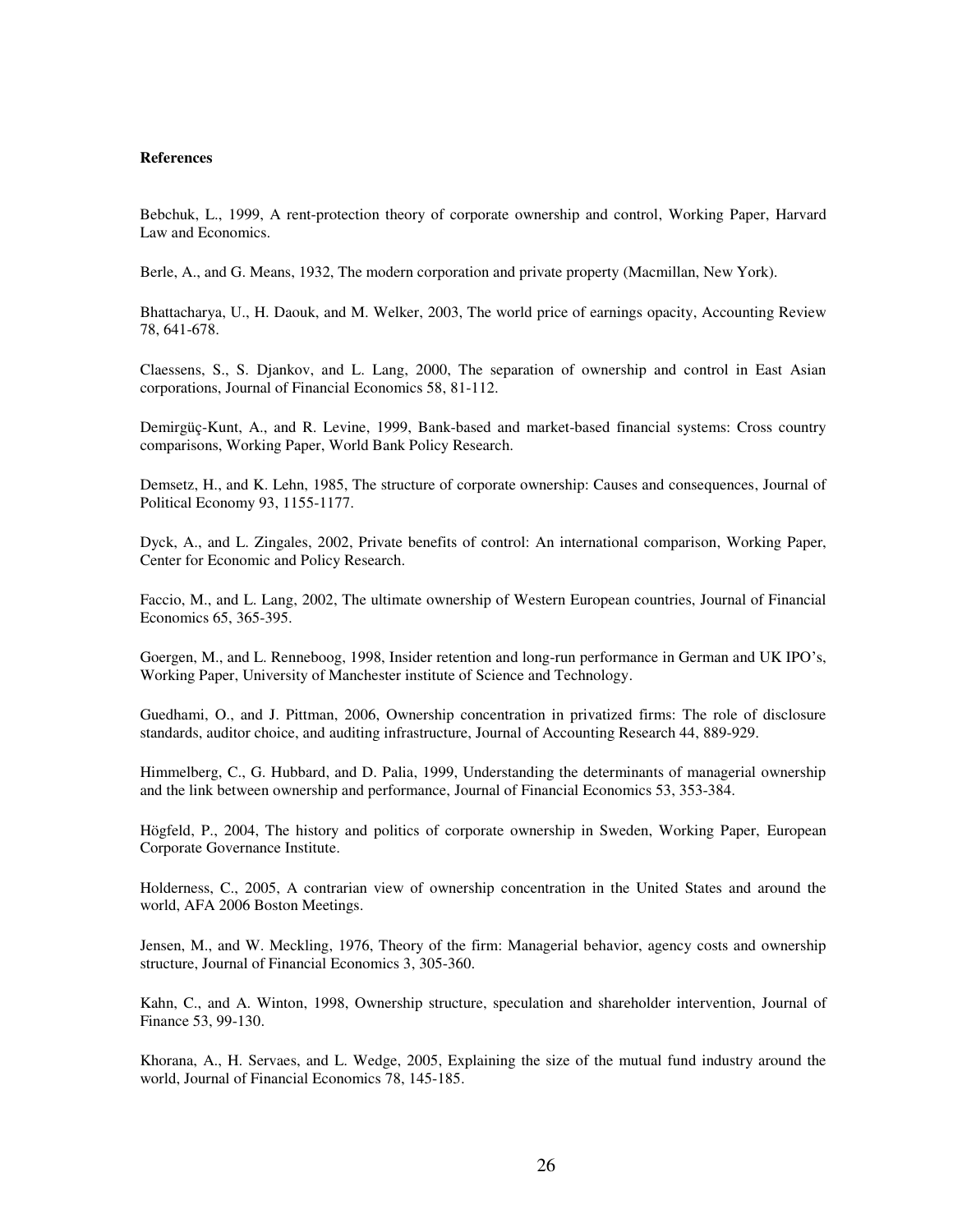#### **References**

Bebchuk, L., 1999, A rent-protection theory of corporate ownership and control, Working Paper, Harvard Law and Economics.

Berle, A., and G. Means, 1932, The modern corporation and private property (Macmillan, New York).

Bhattacharya, U., H. Daouk, and M. Welker, 2003, The world price of earnings opacity, Accounting Review 78, 641-678.

Claessens, S., S. Djankov, and L. Lang, 2000, The separation of ownership and control in East Asian corporations, Journal of Financial Economics 58, 81-112.

Demirgüç-Kunt, A., and R. Levine, 1999, Bank-based and market-based financial systems: Cross country comparisons, Working Paper, World Bank Policy Research.

Demsetz, H., and K. Lehn, 1985, The structure of corporate ownership: Causes and consequences, Journal of Political Economy 93, 1155-1177.

Dyck, A., and L. Zingales, 2002, Private benefits of control: An international comparison, Working Paper, Center for Economic and Policy Research.

Faccio, M., and L. Lang, 2002, The ultimate ownership of Western European countries, Journal of Financial Economics 65, 365-395.

Goergen, M., and L. Renneboog, 1998, Insider retention and long-run performance in German and UK IPO's, Working Paper, University of Manchester institute of Science and Technology.

Guedhami, O., and J. Pittman, 2006, Ownership concentration in privatized firms: The role of disclosure standards, auditor choice, and auditing infrastructure, Journal of Accounting Research 44, 889-929.

Himmelberg, C., G. Hubbard, and D. Palia, 1999, Understanding the determinants of managerial ownership and the link between ownership and performance, Journal of Financial Economics 53, 353-384.

Högfeld, P., 2004, The history and politics of corporate ownership in Sweden, Working Paper, European Corporate Governance Institute.

Holderness, C., 2005, A contrarian view of ownership concentration in the United States and around the world, AFA 2006 Boston Meetings.

Jensen, M., and W. Meckling, 1976, Theory of the firm: Managerial behavior, agency costs and ownership structure, Journal of Financial Economics 3, 305-360.

Kahn, C., and A. Winton, 1998, Ownership structure, speculation and shareholder intervention, Journal of Finance 53, 99-130.

Khorana, A., H. Servaes, and L. Wedge, 2005, Explaining the size of the mutual fund industry around the world, Journal of Financial Economics 78, 145-185.